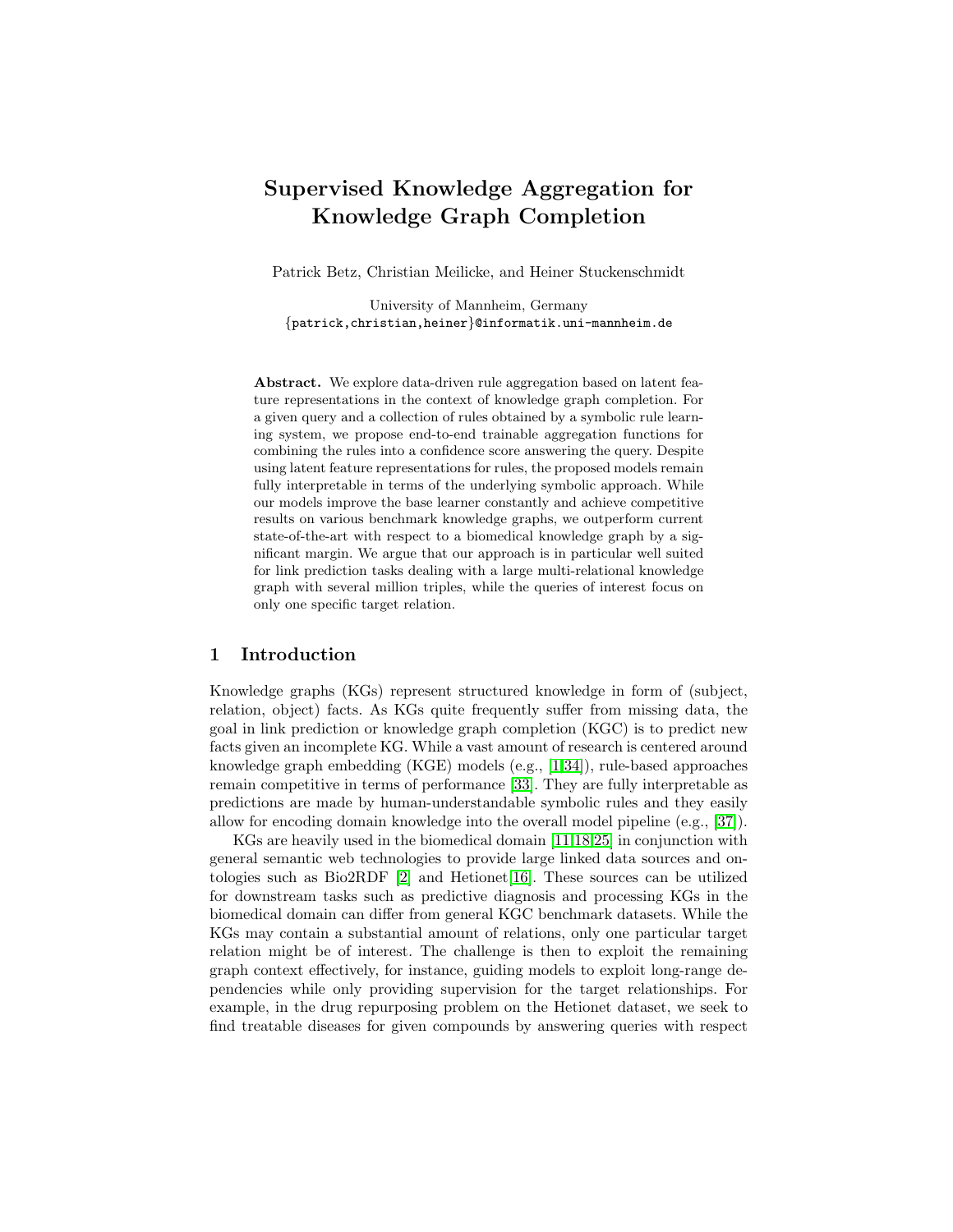# Supervised Knowledge Aggregation for Knowledge Graph Completion

Patrick Betz, Christian Meilicke, and Heiner Stuckenschmidt

University of Mannheim, Germany {patrick,christian,heiner}@informatik.uni-mannheim.de

Abstract. We explore data-driven rule aggregation based on latent feature representations in the context of knowledge graph completion. For a given query and a collection of rules obtained by a symbolic rule learning system, we propose end-to-end trainable aggregation functions for combining the rules into a confidence score answering the query. Despite using latent feature representations for rules, the proposed models remain fully interpretable in terms of the underlying symbolic approach. While our models improve the base learner constantly and achieve competitive results on various benchmark knowledge graphs, we outperform current state-of-the-art with respect to a biomedical knowledge graph by a significant margin. We argue that our approach is in particular well suited for link prediction tasks dealing with a large multi-relational knowledge graph with several million triples, while the queries of interest focus on only one specific target relation.

## 1 Introduction

Knowledge graphs (KGs) represent structured knowledge in form of (subject, relation, object) facts. As KGs quite frequently suffer from missing data, the goal in link prediction or knowledge graph completion (KGC) is to predict new facts given an incomplete KG. While a vast amount of research is centered around knowledge graph embedding (KGE) models (e.g., [\[1,](#page-16-0)[34\]](#page-18-0)), rule-based approaches remain competitive in terms of performance [\[33\]](#page-18-1). They are fully interpretable as predictions are made by human-understandable symbolic rules and they easily allow for encoding domain knowledge into the overall model pipeline (e.g., [\[37\]](#page-18-2)).

KGs are heavily used in the biomedical domain [\[11](#page-17-0)[,18,](#page-17-1)[25\]](#page-17-2) in conjunction with general semantic web technologies to provide large linked data sources and ontologies such as  $Bio2RDF [2]$  $Bio2RDF [2]$  and  $Heionet[16]$  $Heionet[16]$ . These sources can be utilized for downstream tasks such as predictive diagnosis and processing KGs in the biomedical domain can differ from general KGC benchmark datasets. While the KGs may contain a substantial amount of relations, only one particular target relation might be of interest. The challenge is then to exploit the remaining graph context effectively, for instance, guiding models to exploit long-range dependencies while only providing supervision for the target relationships. For example, in the drug repurposing problem on the Hetionet dataset, we seek to find treatable diseases for given compounds by answering queries with respect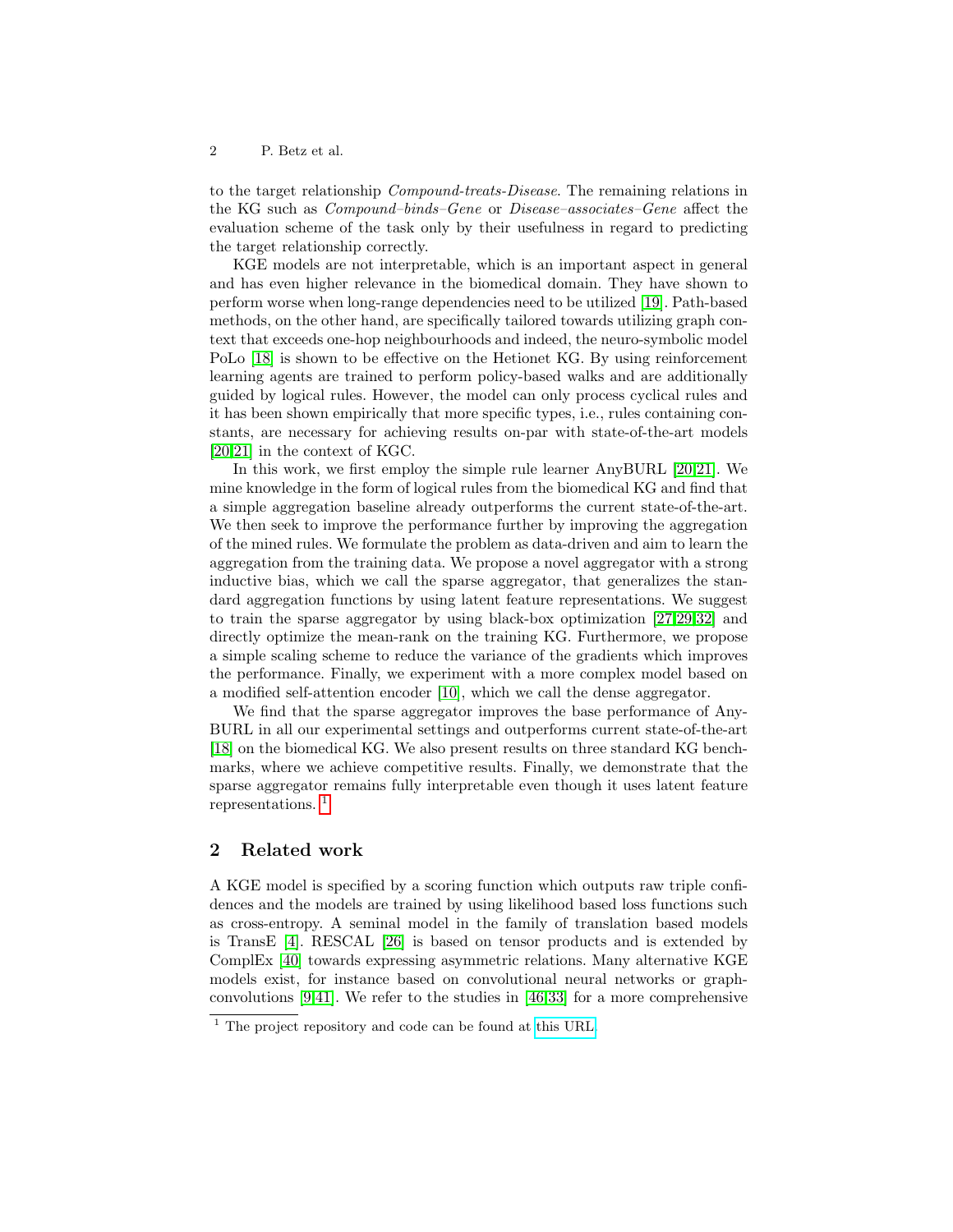to the target relationship Compound-treats-Disease. The remaining relations in the KG such as Compound–binds–Gene or Disease–associates–Gene affect the evaluation scheme of the task only by their usefulness in regard to predicting the target relationship correctly.

KGE models are not interpretable, which is an important aspect in general and has even higher relevance in the biomedical domain. They have shown to perform worse when long-range dependencies need to be utilized [\[19\]](#page-17-4). Path-based methods, on the other hand, are specifically tailored towards utilizing graph context that exceeds one-hop neighbourhoods and indeed, the neuro-symbolic model PoLo [\[18\]](#page-17-1) is shown to be effective on the Hetionet KG. By using reinforcement learning agents are trained to perform policy-based walks and are additionally guided by logical rules. However, the model can only process cyclical rules and it has been shown empirically that more specific types, i.e., rules containing constants, are necessary for achieving results on-par with state-of-the-art models [\[20](#page-17-5)[,21\]](#page-17-6) in the context of KGC.

In this work, we first employ the simple rule learner AnyBURL [\[20,](#page-17-5)[21\]](#page-17-6). We mine knowledge in the form of logical rules from the biomedical KG and find that a simple aggregation baseline already outperforms the current state-of-the-art. We then seek to improve the performance further by improving the aggregation of the mined rules. We formulate the problem as data-driven and aim to learn the aggregation from the training data. We propose a novel aggregator with a strong inductive bias, which we call the sparse aggregator, that generalizes the standard aggregation functions by using latent feature representations. We suggest to train the sparse aggregator by using black-box optimization [\[27,](#page-17-7)[29,](#page-18-3)[32\]](#page-18-4) and directly optimize the mean-rank on the training KG. Furthermore, we propose a simple scaling scheme to reduce the variance of the gradients which improves the performance. Finally, we experiment with a more complex model based on a modified self-attention encoder [\[10\]](#page-16-2), which we call the dense aggregator.

We find that the sparse aggregator improves the base performance of Any-BURL in all our experimental settings and outperforms current state-of-the-art [\[18\]](#page-17-1) on the biomedical KG. We also present results on three standard KG benchmarks, where we achieve competitive results. Finally, we demonstrate that the sparse aggregator remains fully interpretable even though it uses latent feature representations. [1](#page-1-0)

# 2 Related work

A KGE model is specified by a scoring function which outputs raw triple confidences and the models are trained by using likelihood based loss functions such as cross-entropy. A seminal model in the family of translation based models is TransE [\[4\]](#page-16-3). RESCAL [\[26\]](#page-17-8) is based on tensor products and is extended by ComplEx [\[40\]](#page-18-5) towards expressing asymmetric relations. Many alternative KGE models exist, for instance based on convolutional neural networks or graphconvolutions [\[9,](#page-16-4)[41\]](#page-18-6). We refer to the studies in [\[46,](#page-19-0)[33\]](#page-18-1) for a more comprehensive

<span id="page-1-0"></span><sup>&</sup>lt;sup>1</sup> The project repository and code can be found at [this URL.](https://github.com/Nzteb/latent-rules)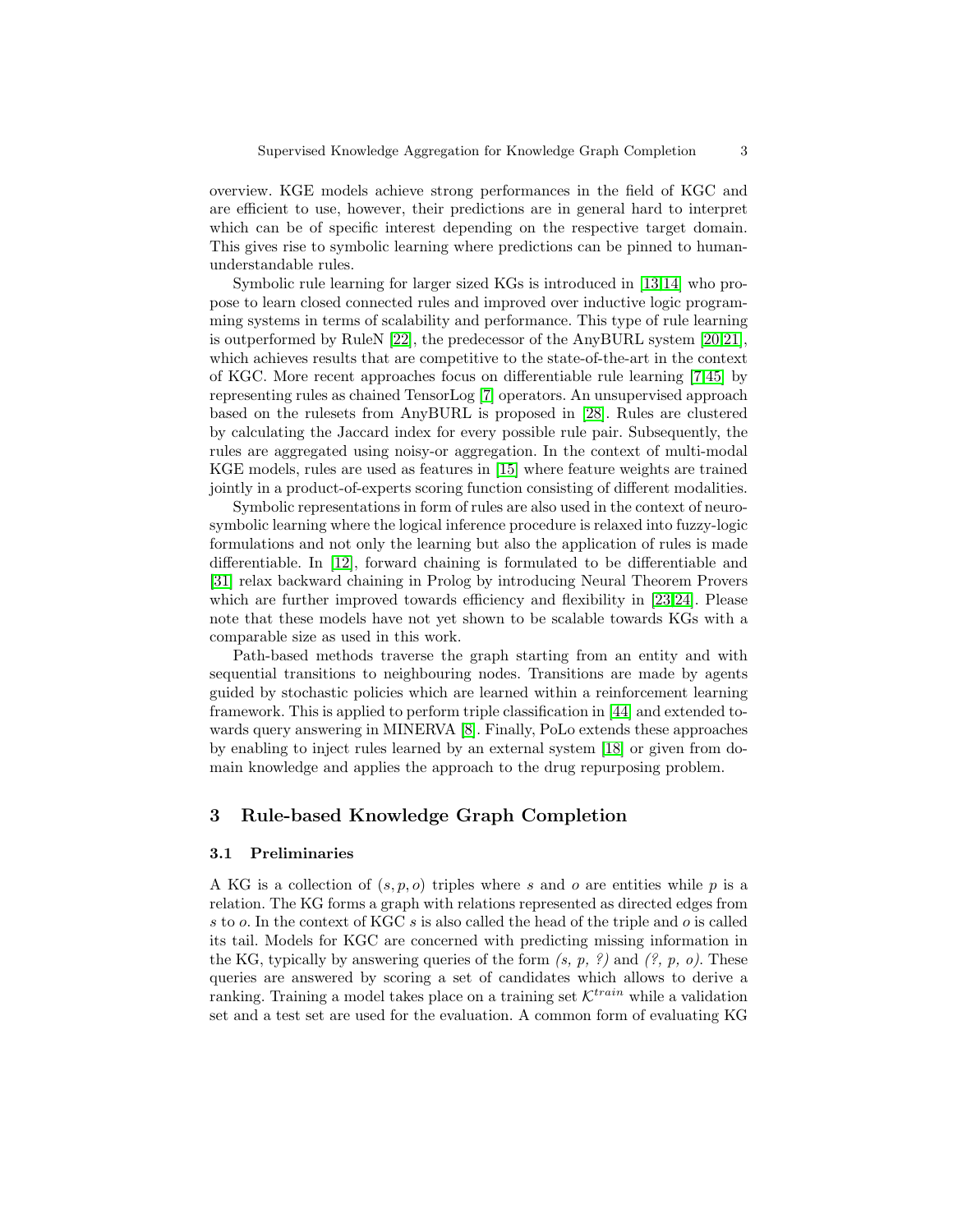overview. KGE models achieve strong performances in the field of KGC and are efficient to use, however, their predictions are in general hard to interpret which can be of specific interest depending on the respective target domain. This gives rise to symbolic learning where predictions can be pinned to humanunderstandable rules.

Symbolic rule learning for larger sized KGs is introduced in [\[13](#page-17-9)[,14\]](#page-17-10) who propose to learn closed connected rules and improved over inductive logic programming systems in terms of scalability and performance. This type of rule learning is outperformed by RuleN [\[22\]](#page-17-11), the predecessor of the AnyBURL system [\[20,](#page-17-5)[21\]](#page-17-6), which achieves results that are competitive to the state-of-the-art in the context of KGC. More recent approaches focus on differentiable rule learning [\[7,](#page-16-5)[45\]](#page-19-1) by representing rules as chained TensorLog [\[7\]](#page-16-5) operators. An unsupervised approach based on the rulesets from AnyBURL is proposed in [\[28\]](#page-17-12). Rules are clustered by calculating the Jaccard index for every possible rule pair. Subsequently, the rules are aggregated using noisy-or aggregation. In the context of multi-modal KGE models, rules are used as features in [\[15\]](#page-17-13) where feature weights are trained jointly in a product-of-experts scoring function consisting of different modalities.

Symbolic representations in form of rules are also used in the context of neurosymbolic learning where the logical inference procedure is relaxed into fuzzy-logic formulations and not only the learning but also the application of rules is made differentiable. In [\[12\]](#page-17-14), forward chaining is formulated to be differentiable and [\[31\]](#page-18-7) relax backward chaining in Prolog by introducing Neural Theorem Provers which are further improved towards efficiency and flexibility in [\[23,](#page-17-15)[24\]](#page-17-16). Please note that these models have not yet shown to be scalable towards KGs with a comparable size as used in this work.

Path-based methods traverse the graph starting from an entity and with sequential transitions to neighbouring nodes. Transitions are made by agents guided by stochastic policies which are learned within a reinforcement learning framework. This is applied to perform triple classification in [\[44\]](#page-18-8) and extended towards query answering in MINERVA [\[8\]](#page-16-6). Finally, PoLo extends these approaches by enabling to inject rules learned by an external system [\[18\]](#page-17-1) or given from domain knowledge and applies the approach to the drug repurposing problem.

# 3 Rule-based Knowledge Graph Completion

#### 3.1 Preliminaries

A KG is a collection of  $(s, p, o)$  triples where s and o are entities while p is a relation. The KG forms a graph with relations represented as directed edges from s to o. In the context of KGC s is also called the head of the triple and o is called its tail. Models for KGC are concerned with predicting missing information in the KG, typically by answering queries of the form  $(s, p, ?)$  and  $(?, p, o)$ . These queries are answered by scoring a set of candidates which allows to derive a ranking. Training a model takes place on a training set  $\mathcal{K}^{train}$  while a validation set and a test set are used for the evaluation. A common form of evaluating KG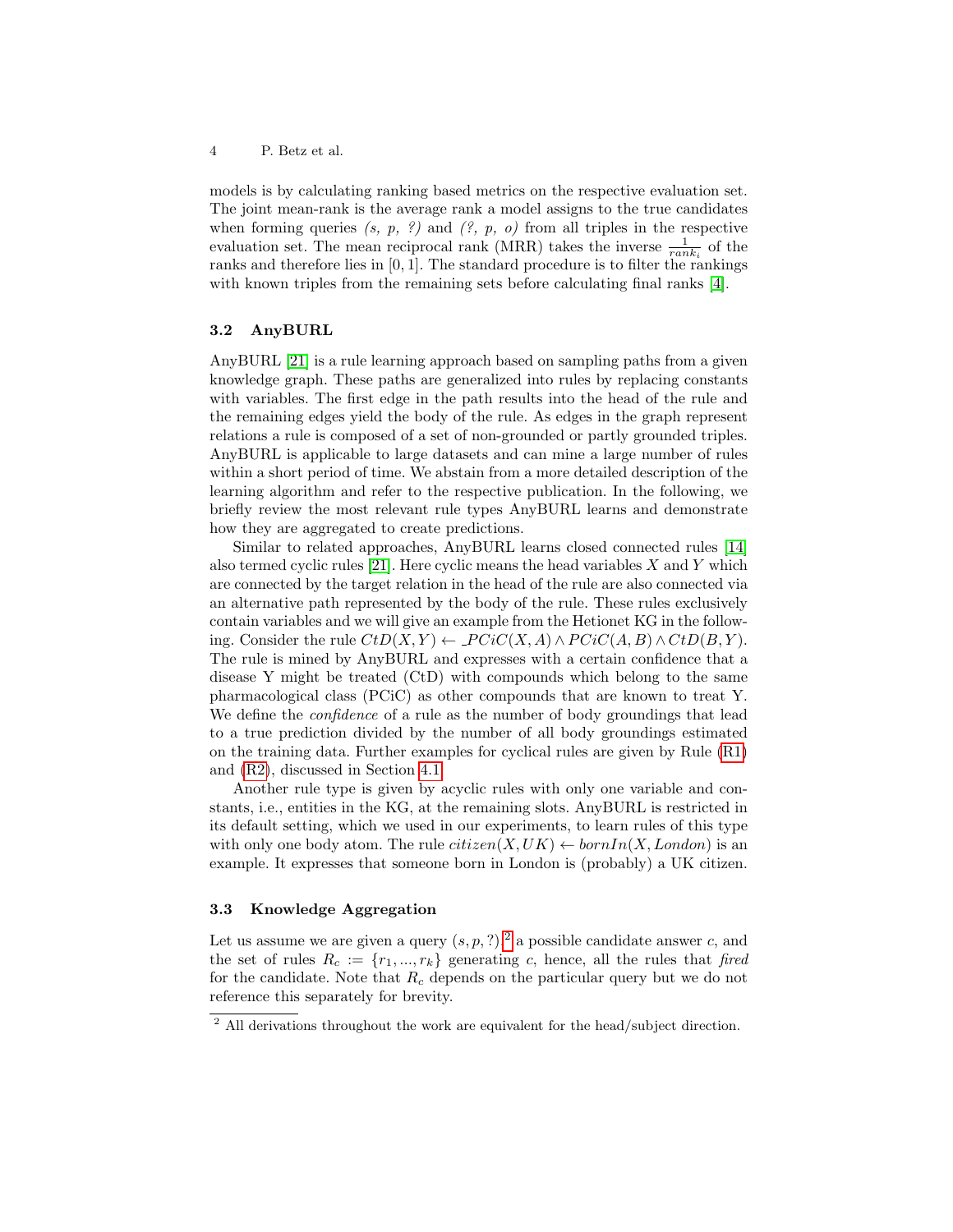models is by calculating ranking based metrics on the respective evaluation set. The joint mean-rank is the average rank a model assigns to the true candidates when forming queries  $(s, p, ?)$  and  $(?, p, o)$  from all triples in the respective evaluation set. The mean reciprocal rank (MRR) takes the inverse  $\frac{1}{rank_i}$  of the ranks and therefore lies in  $[0, 1]$ . The standard procedure is to filter the rankings with known triples from the remaining sets before calculating final ranks [\[4\]](#page-16-3).

## 3.2 AnyBURL

AnyBURL [\[21\]](#page-17-6) is a rule learning approach based on sampling paths from a given knowledge graph. These paths are generalized into rules by replacing constants with variables. The first edge in the path results into the head of the rule and the remaining edges yield the body of the rule. As edges in the graph represent relations a rule is composed of a set of non-grounded or partly grounded triples. AnyBURL is applicable to large datasets and can mine a large number of rules within a short period of time. We abstain from a more detailed description of the learning algorithm and refer to the respective publication. In the following, we briefly review the most relevant rule types AnyBURL learns and demonstrate how they are aggregated to create predictions.

Similar to related approaches, AnyBURL learns closed connected rules [\[14\]](#page-17-10) also termed cyclic rules  $[21]$ . Here cyclic means the head variables X and Y which are connected by the target relation in the head of the rule are also connected via an alternative path represented by the body of the rule. These rules exclusively contain variables and we will give an example from the Hetionet KG in the following. Consider the rule  $CtD(X, Y) \leftarrow P CiC(X, A) \wedge P CiC(A, B) \wedge CtD(B, Y)$ . The rule is mined by AnyBURL and expresses with a certain confidence that a disease Y might be treated (CtD) with compounds which belong to the same pharmacological class (PCiC) as other compounds that are known to treat Y. We define the *confidence* of a rule as the number of body groundings that lead to a true prediction divided by the number of all body groundings estimated on the training data. Further examples for cyclical rules are given by Rule [\(R1\)](#page-4-0) and [\(R2\)](#page-4-1), discussed in Section [4.1.](#page-4-2)

Another rule type is given by acyclic rules with only one variable and constants, i.e., entities in the KG, at the remaining slots. AnyBURL is restricted in its default setting, which we used in our experiments, to learn rules of this type with only one body atom. The rule  $citizen(X, UK) \leftarrow bornIn(X, London)$  is an example. It expresses that someone born in London is (probably) a UK citizen.

## <span id="page-3-1"></span>3.3 Knowledge Aggregation

Let us assume we are given a query  $(s, p, ?),$ <sup>[2](#page-3-0)</sup> a possible candidate answer c, and the set of rules  $R_c := \{r_1, ..., r_k\}$  generating c, hence, all the rules that fired for the candidate. Note that  $R_c$  depends on the particular query but we do not reference this separately for brevity.

<span id="page-3-0"></span><sup>&</sup>lt;sup>2</sup> All derivations throughout the work are equivalent for the head/subject direction.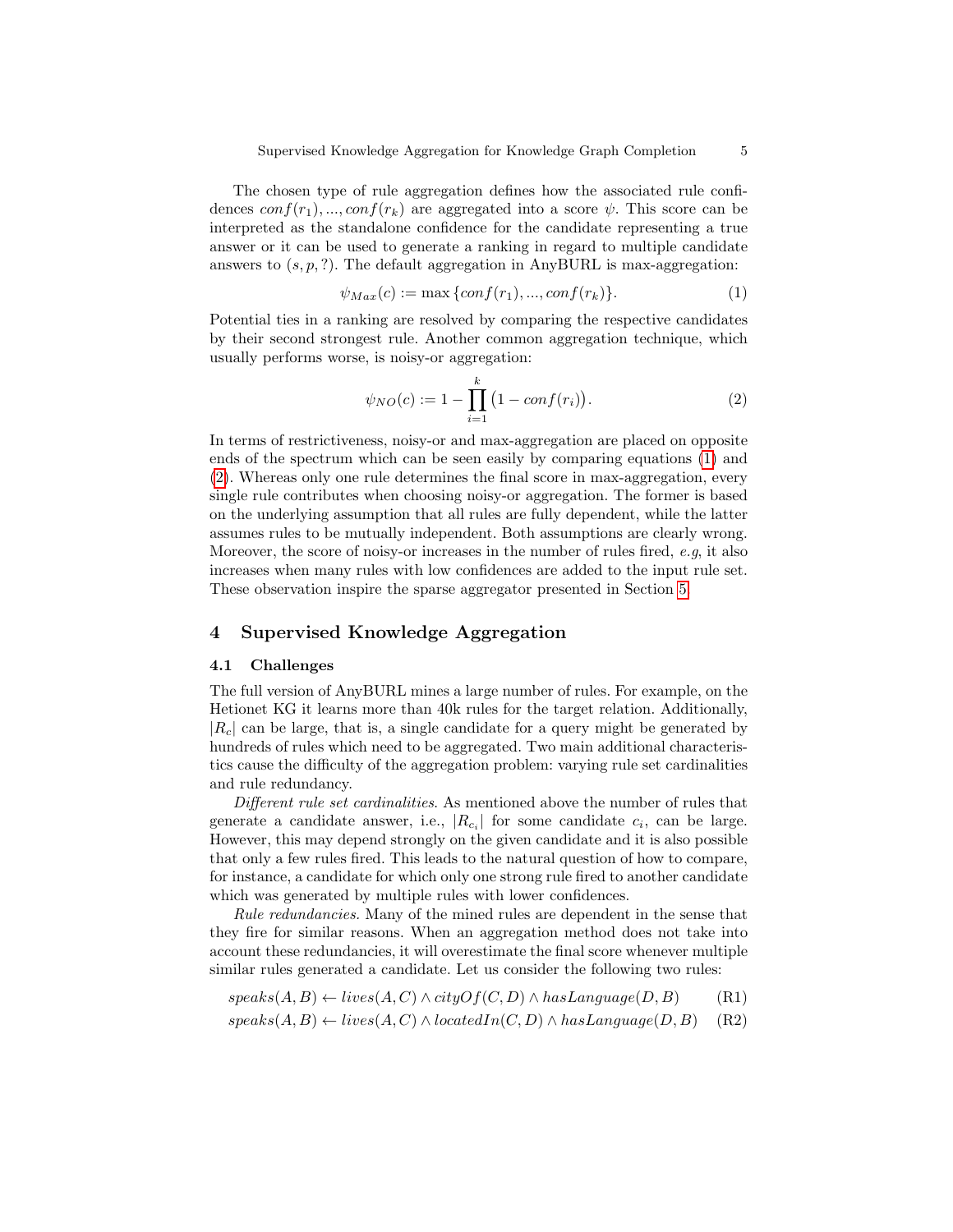The chosen type of rule aggregation defines how the associated rule confidences  $conf(r_1), ..., conf(r_k)$  are aggregated into a score  $\psi$ . This score can be interpreted as the standalone confidence for the candidate representing a true answer or it can be used to generate a ranking in regard to multiple candidate answers to  $(s, p, ?)$ . The default aggregation in AnyBURL is max-aggregation:

$$
\psi_{Max}(c) := \max \{conf(r_1), ..., conf(r_k)\}.
$$
 (1)

Potential ties in a ranking are resolved by comparing the respective candidates by their second strongest rule. Another common aggregation technique, which usually performs worse, is noisy-or aggregation:

<span id="page-4-4"></span><span id="page-4-3"></span>
$$
\psi_{NO}(c) := 1 - \prod_{i=1}^{k} (1 - conf(r_i)).
$$
\n(2)

In terms of restrictiveness, noisy-or and max-aggregation are placed on opposite ends of the spectrum which can be seen easily by comparing equations [\(1\)](#page-4-3) and [\(2\)](#page-4-4). Whereas only one rule determines the final score in max-aggregation, every single rule contributes when choosing noisy-or aggregation. The former is based on the underlying assumption that all rules are fully dependent, while the latter assumes rules to be mutually independent. Both assumptions are clearly wrong. Moreover, the score of noisy-or increases in the number of rules fired, e.g, it also increases when many rules with low confidences are added to the input rule set. These observation inspire the sparse aggregator presented in Section [5.](#page-5-0)

# 4 Supervised Knowledge Aggregation

#### <span id="page-4-2"></span>4.1 Challenges

The full version of AnyBURL mines a large number of rules. For example, on the Hetionet KG it learns more than 40k rules for the target relation. Additionally,  $|R_c|$  can be large, that is, a single candidate for a query might be generated by hundreds of rules which need to be aggregated. Two main additional characteristics cause the difficulty of the aggregation problem: varying rule set cardinalities and rule redundancy.

Different rule set cardinalities. As mentioned above the number of rules that generate a candidate answer, i.e.,  $|R_{c_i}|$  for some candidate  $c_i$ , can be large. However, this may depend strongly on the given candidate and it is also possible that only a few rules fired. This leads to the natural question of how to compare, for instance, a candidate for which only one strong rule fired to another candidate which was generated by multiple rules with lower confidences.

Rule redundancies. Many of the mined rules are dependent in the sense that they fire for similar reasons. When an aggregation method does not take into account these redundancies, it will overestimate the final score whenever multiple similar rules generated a candidate. Let us consider the following two rules:

$$
speaks(A, B) \leftarrow lives(A, C) \land cityOf(C, D) \land hasLanguage(D, B)
$$
 (R1)

<span id="page-4-1"></span><span id="page-4-0"></span>
$$
speaks(A, B) \leftarrow lives(A, C) \land locatedIn(C, D) \land hasLanguage(D, B)
$$
 (R2)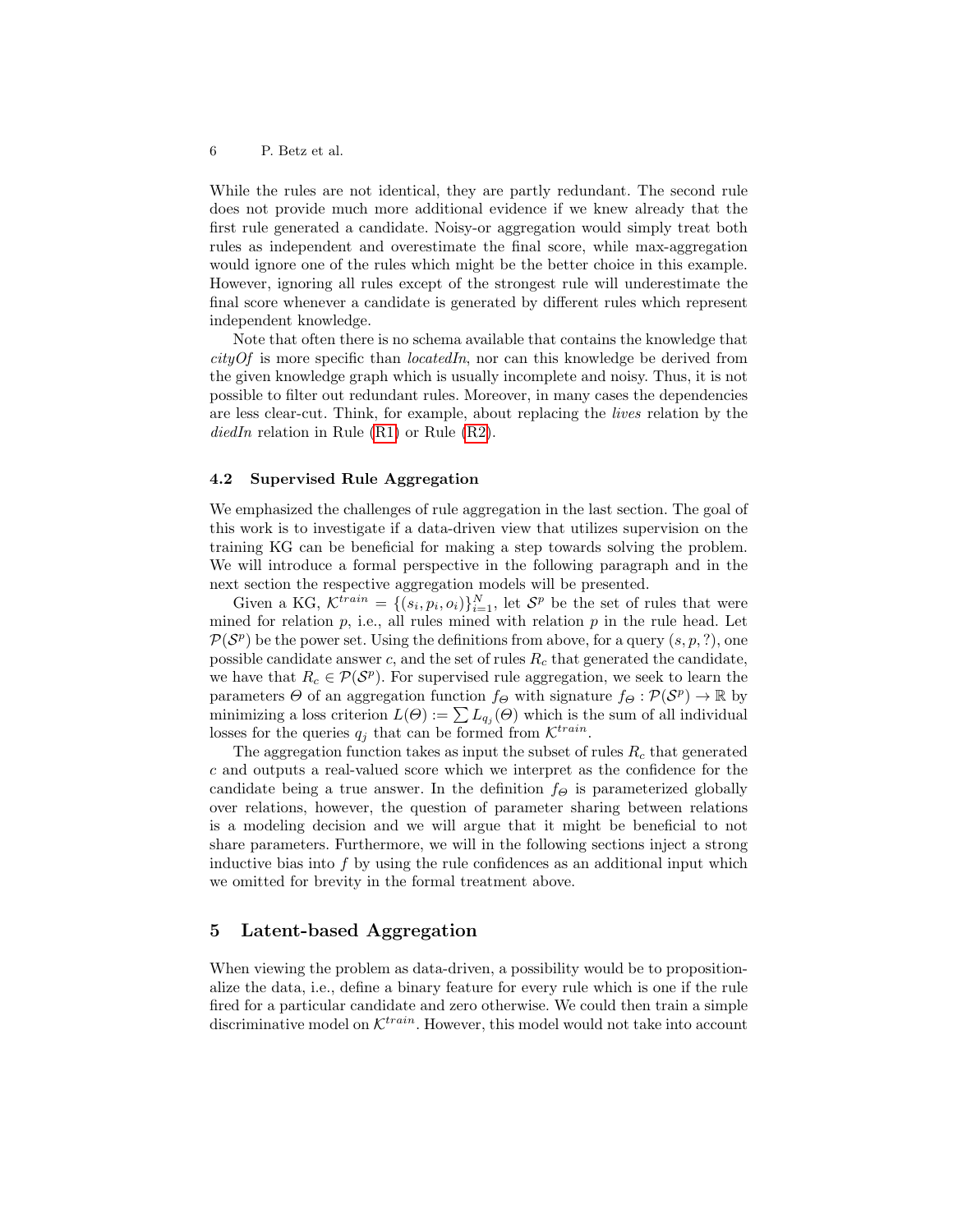While the rules are not identical, they are partly redundant. The second rule does not provide much more additional evidence if we knew already that the first rule generated a candidate. Noisy-or aggregation would simply treat both rules as independent and overestimate the final score, while max-aggregation would ignore one of the rules which might be the better choice in this example. However, ignoring all rules except of the strongest rule will underestimate the final score whenever a candidate is generated by different rules which represent independent knowledge.

Note that often there is no schema available that contains the knowledge that  $cityOf$  is more specific than *locatedIn*, nor can this knowledge be derived from the given knowledge graph which is usually incomplete and noisy. Thus, it is not possible to filter out redundant rules. Moreover, in many cases the dependencies are less clear-cut. Think, for example, about replacing the lives relation by the diedIn relation in Rule [\(R1\)](#page-4-0) or Rule [\(R2\)](#page-4-1).

## 4.2 Supervised Rule Aggregation

We emphasized the challenges of rule aggregation in the last section. The goal of this work is to investigate if a data-driven view that utilizes supervision on the training KG can be beneficial for making a step towards solving the problem. We will introduce a formal perspective in the following paragraph and in the next section the respective aggregation models will be presented.

Given a KG,  $\mathcal{K}^{train} = \{(s_i, p_i, o_i)\}_{i=1}^N$ , let  $\mathcal{S}^p$  be the set of rules that were mined for relation  $p$ , i.e., all rules mined with relation  $p$  in the rule head. Let  $\mathcal{P}(\mathcal{S}^p)$  be the power set. Using the definitions from above, for a query  $(s, p, ?)$ , one possible candidate answer c, and the set of rules  $R_c$  that generated the candidate, we have that  $R_c \in \mathcal{P}(\mathcal{S}^p)$ . For supervised rule aggregation, we seek to learn the parameters  $\Theta$  of an aggregation function  $f_{\Theta}$  with signature  $f_{\Theta} : \mathcal{P}(\mathcal{S}^p) \to \mathbb{R}$  by minimizing a loss criterion  $L(\Theta) := \sum L_{q_j}(\Theta)$  which is the sum of all individual losses for the queries  $q_j$  that can be formed from  $\mathcal{K}^{train}$ .

The aggregation function takes as input the subset of rules  $R_c$  that generated c and outputs a real-valued score which we interpret as the confidence for the candidate being a true answer. In the definition  $f_{\Theta}$  is parameterized globally over relations, however, the question of parameter sharing between relations is a modeling decision and we will argue that it might be beneficial to not share parameters. Furthermore, we will in the following sections inject a strong inductive bias into  $f$  by using the rule confidences as an additional input which we omitted for brevity in the formal treatment above.

# <span id="page-5-0"></span>5 Latent-based Aggregation

When viewing the problem as data-driven, a possibility would be to propositionalize the data, i.e., define a binary feature for every rule which is one if the rule fired for a particular candidate and zero otherwise. We could then train a simple discriminative model on  $\mathcal{K}^{train}$ . However, this model would not take into account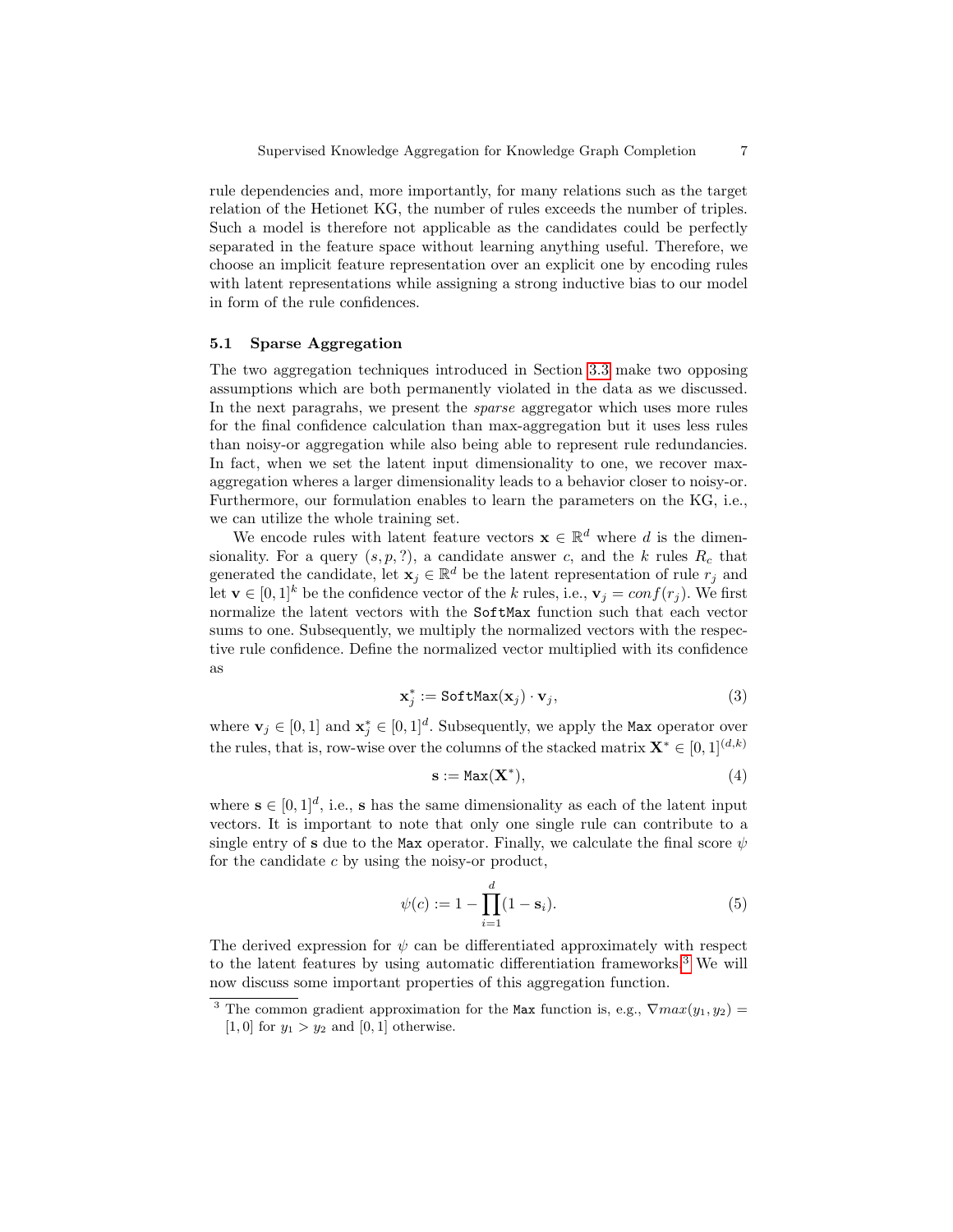rule dependencies and, more importantly, for many relations such as the target relation of the Hetionet KG, the number of rules exceeds the number of triples. Such a model is therefore not applicable as the candidates could be perfectly separated in the feature space without learning anything useful. Therefore, we choose an implicit feature representation over an explicit one by encoding rules with latent representations while assigning a strong inductive bias to our model in form of the rule confidences.

#### 5.1 Sparse Aggregation

The two aggregation techniques introduced in Section [3.3](#page-3-1) make two opposing assumptions which are both permanently violated in the data as we discussed. In the next paragrahs, we present the sparse aggregator which uses more rules for the final confidence calculation than max-aggregation but it uses less rules than noisy-or aggregation while also being able to represent rule redundancies. In fact, when we set the latent input dimensionality to one, we recover maxaggregation wheres a larger dimensionality leads to a behavior closer to noisy-or. Furthermore, our formulation enables to learn the parameters on the KG, i.e., we can utilize the whole training set.

We encode rules with latent feature vectors  $\mathbf{x} \in \mathbb{R}^d$  where d is the dimensionality. For a query  $(s, p, ?)$ , a candidate answer c, and the k rules  $R_c$  that generated the candidate, let  $\mathbf{x}_j \in \mathbb{R}^d$  be the latent representation of rule  $r_j$  and let  $\mathbf{v} \in [0,1]^k$  be the confidence vector of the k rules, i.e.,  $\mathbf{v}_i = conf(r_i)$ . We first normalize the latent vectors with the SoftMax function such that each vector sums to one. Subsequently, we multiply the normalized vectors with the respective rule confidence. Define the normalized vector multiplied with its confidence as

$$
\mathbf{x}_j^* := \text{SoftMax}(\mathbf{x}_j) \cdot \mathbf{v}_j,\tag{3}
$$

where  $\mathbf{v}_j \in [0,1]$  and  $\mathbf{x}_j^* \in [0,1]^d$ . Subsequently, we apply the Max operator over the rules, that is, row-wise over the columns of the stacked matrix  $\mathbf{X}^* \in [0, 1]^{(d,k)}$ 

<span id="page-6-1"></span>
$$
\mathbf{s} := \text{Max}(\mathbf{X}^*),\tag{4}
$$

where  $\mathbf{s} \in [0,1]^d$ , i.e., **s** has the same dimensionality as each of the latent input vectors. It is important to note that only one single rule can contribute to a single entry of s due to the Max operator. Finally, we calculate the final score  $\psi$ for the candidate  $c$  by using the noisy-or product,

$$
\psi(c) := 1 - \prod_{i=1}^{d} (1 - \mathbf{s}_i). \tag{5}
$$

The derived expression for  $\psi$  can be differentiated approximately with respect to the latent features by using automatic differentiation frameworks.[3](#page-6-0) We will now discuss some important properties of this aggregation function.

<span id="page-6-0"></span><sup>&</sup>lt;sup>3</sup> The common gradient approximation for the Max function is, e.g.,  $\nabla max(y_1, y_2)$  = [1,0] for  $y_1 > y_2$  and [0,1] otherwise.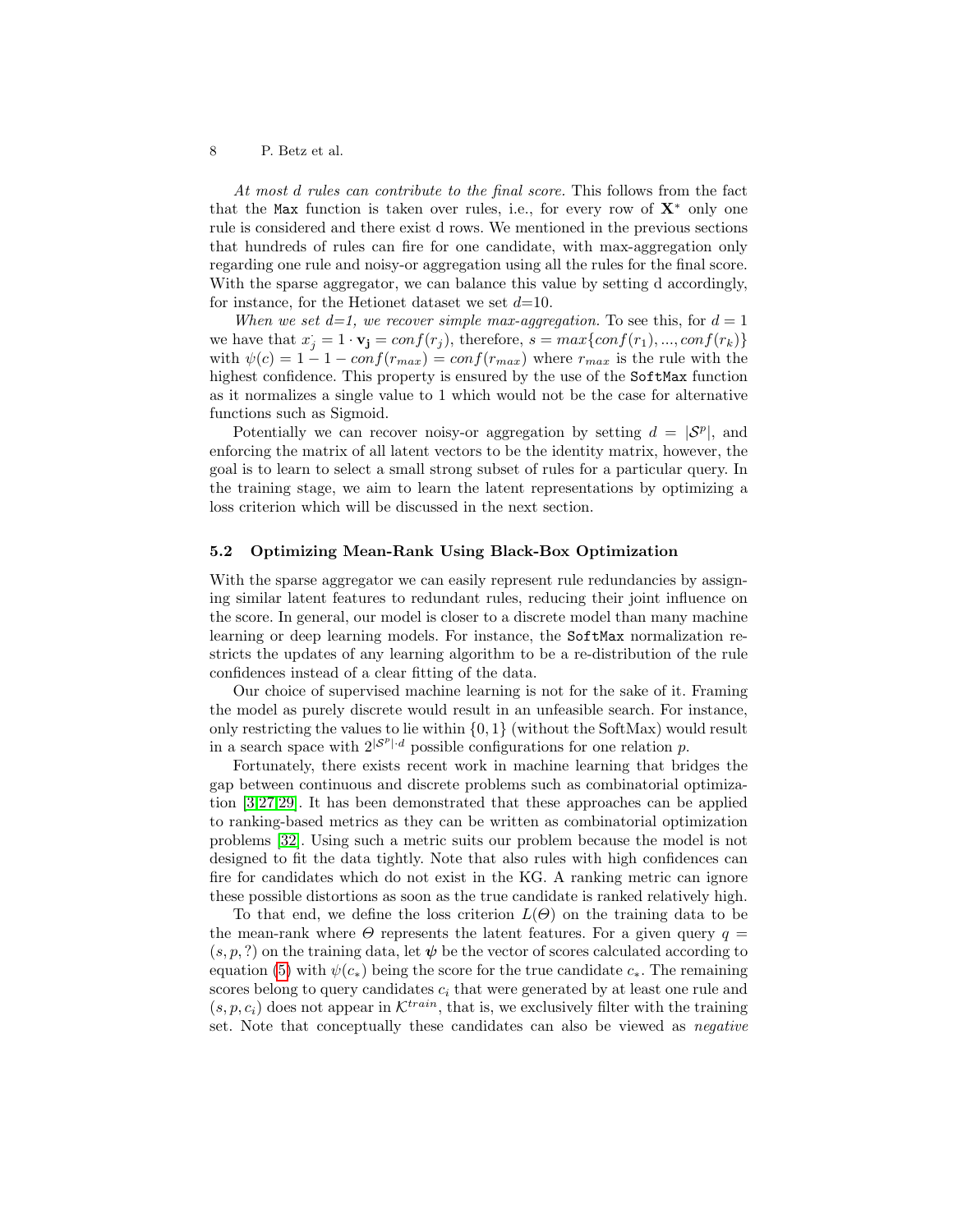At most d rules can contribute to the final score. This follows from the fact that the Max function is taken over rules, i.e., for every row of  $X^*$  only one rule is considered and there exist d rows. We mentioned in the previous sections that hundreds of rules can fire for one candidate, with max-aggregation only regarding one rule and noisy-or aggregation using all the rules for the final score. With the sparse aggregator, we can balance this value by setting d accordingly, for instance, for the Hetionet dataset we set  $d=10$ .

When we set  $d=1$ , we recover simple max-aggregation. To see this, for  $d=1$ we have that  $x_j = 1 \cdot \mathbf{v_j} = conf(r_j)$ , therefore,  $s = max\{conf(r_1), ..., conf(r_k)\}$ with  $\psi(c) = 1 - 1 - \text{conf}(r_{\text{max}}) = \text{conf}(r_{\text{max}})$  where  $r_{\text{max}}$  is the rule with the highest confidence. This property is ensured by the use of the SoftMax function as it normalizes a single value to 1 which would not be the case for alternative functions such as Sigmoid.

Potentially we can recover noisy-or aggregation by setting  $d = |\mathcal{S}^p|$ , and enforcing the matrix of all latent vectors to be the identity matrix, however, the goal is to learn to select a small strong subset of rules for a particular query. In the training stage, we aim to learn the latent representations by optimizing a loss criterion which will be discussed in the next section.

## <span id="page-7-0"></span>5.2 Optimizing Mean-Rank Using Black-Box Optimization

With the sparse aggregator we can easily represent rule redundancies by assigning similar latent features to redundant rules, reducing their joint influence on the score. In general, our model is closer to a discrete model than many machine learning or deep learning models. For instance, the SoftMax normalization restricts the updates of any learning algorithm to be a re-distribution of the rule confidences instead of a clear fitting of the data.

Our choice of supervised machine learning is not for the sake of it. Framing the model as purely discrete would result in an unfeasible search. For instance, only restricting the values to lie within {0, 1} (without the SoftMax) would result in a search space with  $2^{|S^p| \cdot d}$  possible configurations for one relation p.

Fortunately, there exists recent work in machine learning that bridges the gap between continuous and discrete problems such as combinatorial optimization [\[3,](#page-16-7)[27](#page-17-7)[,29\]](#page-18-3). It has been demonstrated that these approaches can be applied to ranking-based metrics as they can be written as combinatorial optimization problems [\[32\]](#page-18-4). Using such a metric suits our problem because the model is not designed to fit the data tightly. Note that also rules with high confidences can fire for candidates which do not exist in the KG. A ranking metric can ignore these possible distortions as soon as the true candidate is ranked relatively high.

To that end, we define the loss criterion  $L(\Theta)$  on the training data to be the mean-rank where  $\Theta$  represents the latent features. For a given query  $q =$  $(s, p, ?)$  on the training data, let  $\psi$  be the vector of scores calculated according to equation [\(5\)](#page-6-1) with  $\psi(c_*)$  being the score for the true candidate  $c_*$ . The remaining scores belong to query candidates  $c_i$  that were generated by at least one rule and  $(s, p, c_i)$  does not appear in  $\mathcal{K}^{train}$ , that is, we exclusively filter with the training set. Note that conceptually these candidates can also be viewed as negative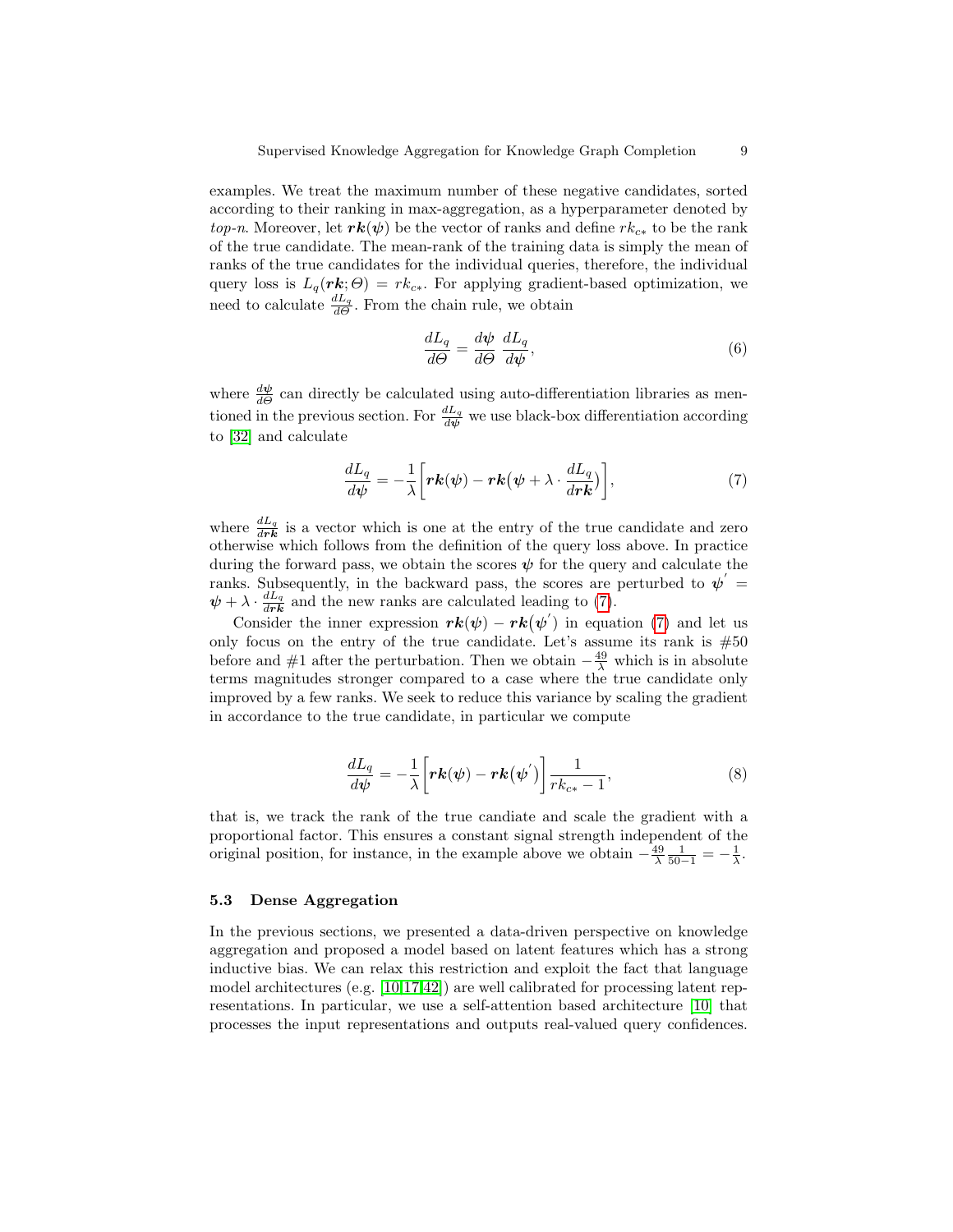examples. We treat the maximum number of these negative candidates, sorted according to their ranking in max-aggregation, as a hyperparameter denoted by top-n. Moreover, let  $rk(\psi)$  be the vector of ranks and define  $rk_{c*}$  to be the rank of the true candidate. The mean-rank of the training data is simply the mean of ranks of the true candidates for the individual queries, therefore, the individual query loss is  $L_q(rk; \Theta) = rk_{c*}$ . For applying gradient-based optimization, we need to calculate  $\frac{dL_q}{d\Theta}$ . From the chain rule, we obtain

<span id="page-8-0"></span>
$$
\frac{dL_q}{d\Theta} = \frac{d\psi}{d\Theta} \frac{dL_q}{d\psi},\tag{6}
$$

where  $\frac{d\psi}{d\Theta}$  can directly be calculated using auto-differentiation libraries as mentioned in the previous section. For  $\frac{dL_q}{d\psi}$  we use black-box differentiation according to [\[32\]](#page-18-4) and calculate

$$
\frac{dL_q}{d\psi} = -\frac{1}{\lambda} \bigg[ \boldsymbol{rk}(\psi) - \boldsymbol{rk}\big(\psi + \lambda \cdot \frac{dL_q}{d\boldsymbol{rk}}\big) \bigg],\tag{7}
$$

where  $\frac{dL_q}{d\mathbf{r}k}$  is a vector which is one at the entry of the true candidate and zero otherwise which follows from the definition of the query loss above. In practice during the forward pass, we obtain the scores  $\psi$  for the query and calculate the ranks. Subsequently, in the backward pass, the scores are perturbed to  $\psi' =$  $\psi + \lambda \cdot \frac{dL_q}{drk}$  and the new ranks are calculated leading to [\(7\)](#page-8-0).

Consider the inner expression  $r k(\psi) - r k(\psi')$  in equation [\(7\)](#page-8-0) and let us only focus on the entry of the true candidate. Let's assume its rank is  $#50$ before and #1 after the perturbation. Then we obtain  $-\frac{49}{\lambda}$  which is in absolute terms magnitudes stronger compared to a case where the true candidate only improved by a few ranks. We seek to reduce this variance by scaling the gradient in accordance to the true candidate, in particular we compute

$$
\frac{dL_q}{d\psi} = -\frac{1}{\lambda} \left[ r\mathbf{k}(\psi) - r\mathbf{k}(\psi') \right] \frac{1}{rk_{c*} - 1},\tag{8}
$$

that is, we track the rank of the true candiate and scale the gradient with a proportional factor. This ensures a constant signal strength independent of the original position, for instance, in the example above we obtain  $-\frac{49}{\lambda} \frac{1}{50-1} = -\frac{1}{\lambda}$ .

#### <span id="page-8-1"></span>5.3 Dense Aggregation

In the previous sections, we presented a data-driven perspective on knowledge aggregation and proposed a model based on latent features which has a strong inductive bias. We can relax this restriction and exploit the fact that language model architectures (e.g. [\[10,](#page-16-2)[17](#page-17-17)[,42\]](#page-18-9)) are well calibrated for processing latent representations. In particular, we use a self-attention based architecture [\[10\]](#page-16-2) that processes the input representations and outputs real-valued query confidences.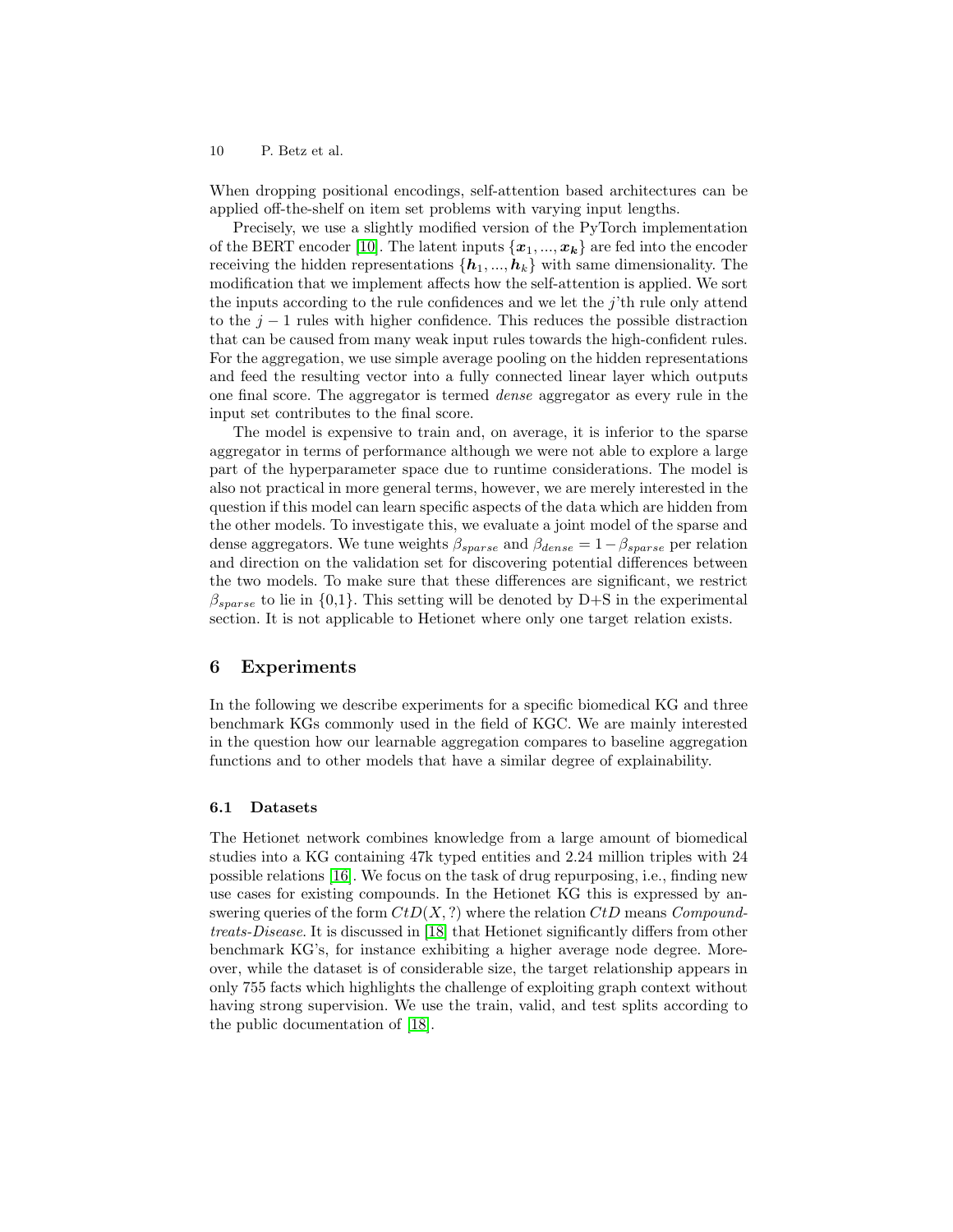When dropping positional encodings, self-attention based architectures can be applied off-the-shelf on item set problems with varying input lengths.

Precisely, we use a slightly modified version of the PyTorch implementation of the BERT encoder [\[10\]](#page-16-2). The latent inputs  $\{x_1, ..., x_k\}$  are fed into the encoder receiving the hidden representations  $\{h_1, ..., h_k\}$  with same dimensionality. The modification that we implement affects how the self-attention is applied. We sort the inputs according to the rule confidences and we let the  $j$ 'th rule only attend to the  $j - 1$  rules with higher confidence. This reduces the possible distraction that can be caused from many weak input rules towards the high-confident rules. For the aggregation, we use simple average pooling on the hidden representations and feed the resulting vector into a fully connected linear layer which outputs one final score. The aggregator is termed dense aggregator as every rule in the input set contributes to the final score.

The model is expensive to train and, on average, it is inferior to the sparse aggregator in terms of performance although we were not able to explore a large part of the hyperparameter space due to runtime considerations. The model is also not practical in more general terms, however, we are merely interested in the question if this model can learn specific aspects of the data which are hidden from the other models. To investigate this, we evaluate a joint model of the sparse and dense aggregators. We tune weights  $\beta_{sparse}$  and  $\beta_{dense} = 1 - \beta_{sparse}$  per relation and direction on the validation set for discovering potential differences between the two models. To make sure that these differences are significant, we restrict  $\beta_{sparse}$  to lie in  $\{0,1\}$ . This setting will be denoted by D+S in the experimental section. It is not applicable to Hetionet where only one target relation exists.

## 6 Experiments

In the following we describe experiments for a specific biomedical KG and three benchmark KGs commonly used in the field of KGC. We are mainly interested in the question how our learnable aggregation compares to baseline aggregation functions and to other models that have a similar degree of explainability.

#### 6.1 Datasets

The Hetionet network combines knowledge from a large amount of biomedical studies into a KG containing 47k typed entities and 2.24 million triples with 24 possible relations [\[16\]](#page-17-3). We focus on the task of drug repurposing, i.e., finding new use cases for existing compounds. In the Hetionet KG this is expressed by answering queries of the form  $CtD(X, ?)$  where the relation  $CtD$  means Compoundtreats-Disease. It is discussed in [\[18\]](#page-17-1) that Hetionet significantly differs from other benchmark KG's, for instance exhibiting a higher average node degree. Moreover, while the dataset is of considerable size, the target relationship appears in only 755 facts which highlights the challenge of exploiting graph context without having strong supervision. We use the train, valid, and test splits according to the public documentation of [\[18\]](#page-17-1).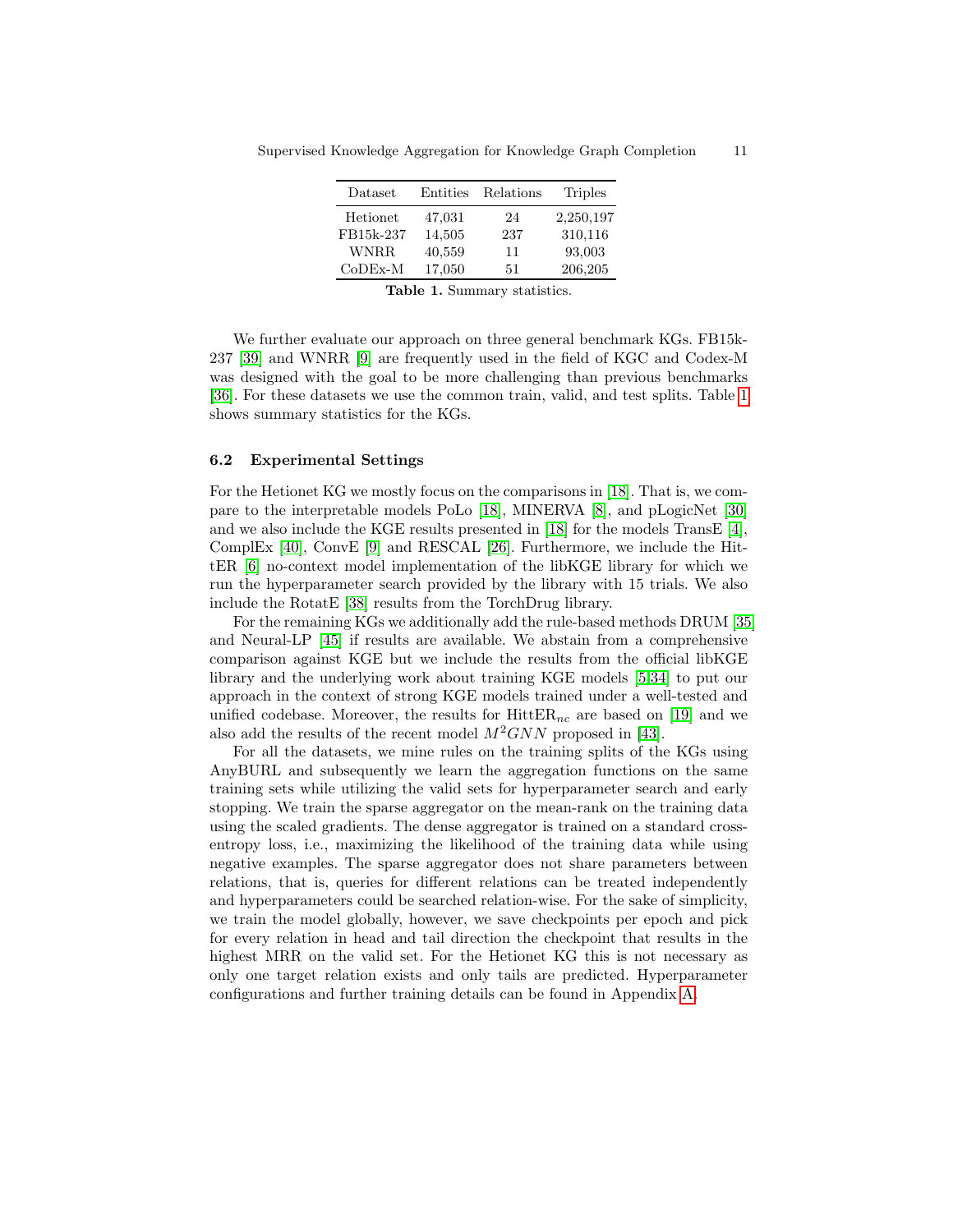| Dataset     | Entities | Relations | <b>Triples</b> |
|-------------|----------|-----------|----------------|
| Hetionet    | 47,031   | 24        | 2,250,197      |
| FB15k-237   | 14,505   | 237       | 310,116        |
| <b>WNRR</b> | 40,559   | 11        | 93,003         |
| $CoDEx-M$   | 17,050   | 51        | 206,205        |

<span id="page-10-0"></span>Table 1. Summary statistics.

We further evaluate our approach on three general benchmark KGs. FB15k-237 [\[39\]](#page-18-10) and WNRR [\[9\]](#page-16-4) are frequently used in the field of KGC and Codex-M was designed with the goal to be more challenging than previous benchmarks [\[36\]](#page-18-11). For these datasets we use the common train, valid, and test splits. Table [1](#page-10-0) shows summary statistics for the KGs.

### 6.2 Experimental Settings

For the Hetionet KG we mostly focus on the comparisons in [\[18\]](#page-17-1). That is, we compare to the interpretable models PoLo [\[18\]](#page-17-1), MINERVA [\[8\]](#page-16-6), and pLogicNet [\[30\]](#page-18-12) and we also include the KGE results presented in [\[18\]](#page-17-1) for the models TransE [\[4\]](#page-16-3), ComplEx [\[40\]](#page-18-5), ConvE [\[9\]](#page-16-4) and RESCAL [\[26\]](#page-17-8). Furthermore, we include the HittER [\[6\]](#page-16-8) no-context model implementation of the libKGE library for which we run the hyperparameter search provided by the library with 15 trials. We also include the RotatE [\[38\]](#page-18-13) results from the TorchDrug library.

For the remaining KGs we additionally add the rule-based methods DRUM [\[35\]](#page-18-14) and Neural-LP [\[45\]](#page-19-1) if results are available. We abstain from a comprehensive comparison against KGE but we include the results from the official libKGE library and the underlying work about training KGE models [\[5,](#page-16-9)[34\]](#page-18-0) to put our approach in the context of strong KGE models trained under a well-tested and unified codebase. Moreover, the results for  $HittER_{nc}$  are based on [\[19\]](#page-17-4) and we also add the results of the recent model  $M^2GNN$  proposed in [\[43\]](#page-18-15).

For all the datasets, we mine rules on the training splits of the KGs using AnyBURL and subsequently we learn the aggregation functions on the same training sets while utilizing the valid sets for hyperparameter search and early stopping. We train the sparse aggregator on the mean-rank on the training data using the scaled gradients. The dense aggregator is trained on a standard crossentropy loss, i.e., maximizing the likelihood of the training data while using negative examples. The sparse aggregator does not share parameters between relations, that is, queries for different relations can be treated independently and hyperparameters could be searched relation-wise. For the sake of simplicity, we train the model globally, however, we save checkpoints per epoch and pick for every relation in head and tail direction the checkpoint that results in the highest MRR on the valid set. For the Hetionet KG this is not necessary as only one target relation exists and only tails are predicted. Hyperparameter configurations and further training details can be found in Appendix [A.](#page-15-0)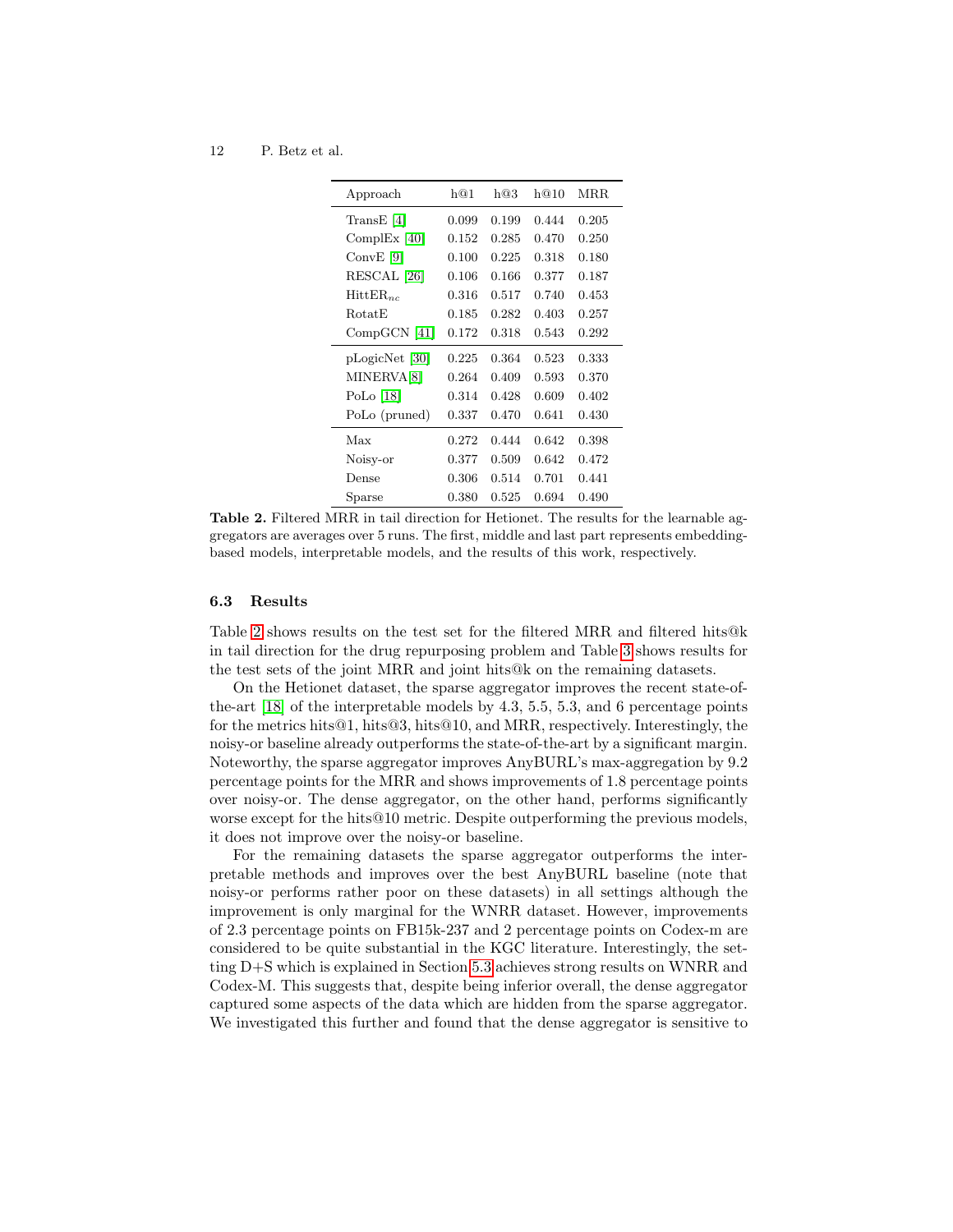<span id="page-11-0"></span>

| Approach               | h@1   | h@3   | h@10  | MRR.  |
|------------------------|-------|-------|-------|-------|
| Trans $E[4]$           | 0.099 | 0.199 | 0.444 | 0.205 |
| $ComplEx$ [40]         | 0.152 | 0.285 | 0.470 | 0.250 |
| ConvE[9]               | 0.100 | 0.225 | 0.318 | 0.180 |
| RESCAL <sup>[26]</sup> | 0.106 | 0.166 | 0.377 | 0.187 |
| $HittER_{nc}$          | 0.316 | 0.517 | 0.740 | 0.453 |
| <b>RotatE</b>          | 0.185 | 0.282 | 0.403 | 0.257 |
| $CompGCN$ [41]         | 0.172 | 0.318 | 0.543 | 0.292 |
| pLogicNet [30]         | 0.225 | 0.364 | 0.523 | 0.333 |
| MINERVA[8]             | 0.264 | 0.409 | 0.593 | 0.370 |
| PoLo $[18]$            | 0.314 | 0.428 | 0.609 | 0.402 |
| PoLo (pruned)          | 0.337 | 0.470 | 0.641 | 0.430 |
| Max                    | 0.272 | 0.444 | 0.642 | 0.398 |
| Noisy-or               | 0.377 | 0.509 | 0.642 | 0.472 |
| Dense                  | 0.306 | 0.514 | 0.701 | 0.441 |
| Sparse                 | 0.380 | 0.525 | 0.694 | 0.490 |

Table 2. Filtered MRR in tail direction for Hetionet. The results for the learnable aggregators are averages over 5 runs. The first, middle and last part represents embeddingbased models, interpretable models, and the results of this work, respectively.

## 6.3 Results

Table [2](#page-11-0) shows results on the test set for the filtered MRR and filtered hits@k in tail direction for the drug repurposing problem and Table [3](#page-12-0) shows results for the test sets of the joint MRR and joint hits@k on the remaining datasets.

On the Hetionet dataset, the sparse aggregator improves the recent state-ofthe-art [\[18\]](#page-17-1) of the interpretable models by 4.3, 5.5, 5.3, and 6 percentage points for the metrics hits@1, hits@3, hits@10, and MRR, respectively. Interestingly, the noisy-or baseline already outperforms the state-of-the-art by a significant margin. Noteworthy, the sparse aggregator improves AnyBURL's max-aggregation by 9.2 percentage points for the MRR and shows improvements of 1.8 percentage points over noisy-or. The dense aggregator, on the other hand, performs significantly worse except for the hits@10 metric. Despite outperforming the previous models, it does not improve over the noisy-or baseline.

For the remaining datasets the sparse aggregator outperforms the interpretable methods and improves over the best AnyBURL baseline (note that noisy-or performs rather poor on these datasets) in all settings although the improvement is only marginal for the WNRR dataset. However, improvements of 2.3 percentage points on FB15k-237 and 2 percentage points on Codex-m are considered to be quite substantial in the KGC literature. Interestingly, the setting D+S which is explained in Section [5.3](#page-8-1) achieves strong results on WNRR and Codex-M. This suggests that, despite being inferior overall, the dense aggregator captured some aspects of the data which are hidden from the sparse aggregator. We investigated this further and found that the dense aggregator is sensitive to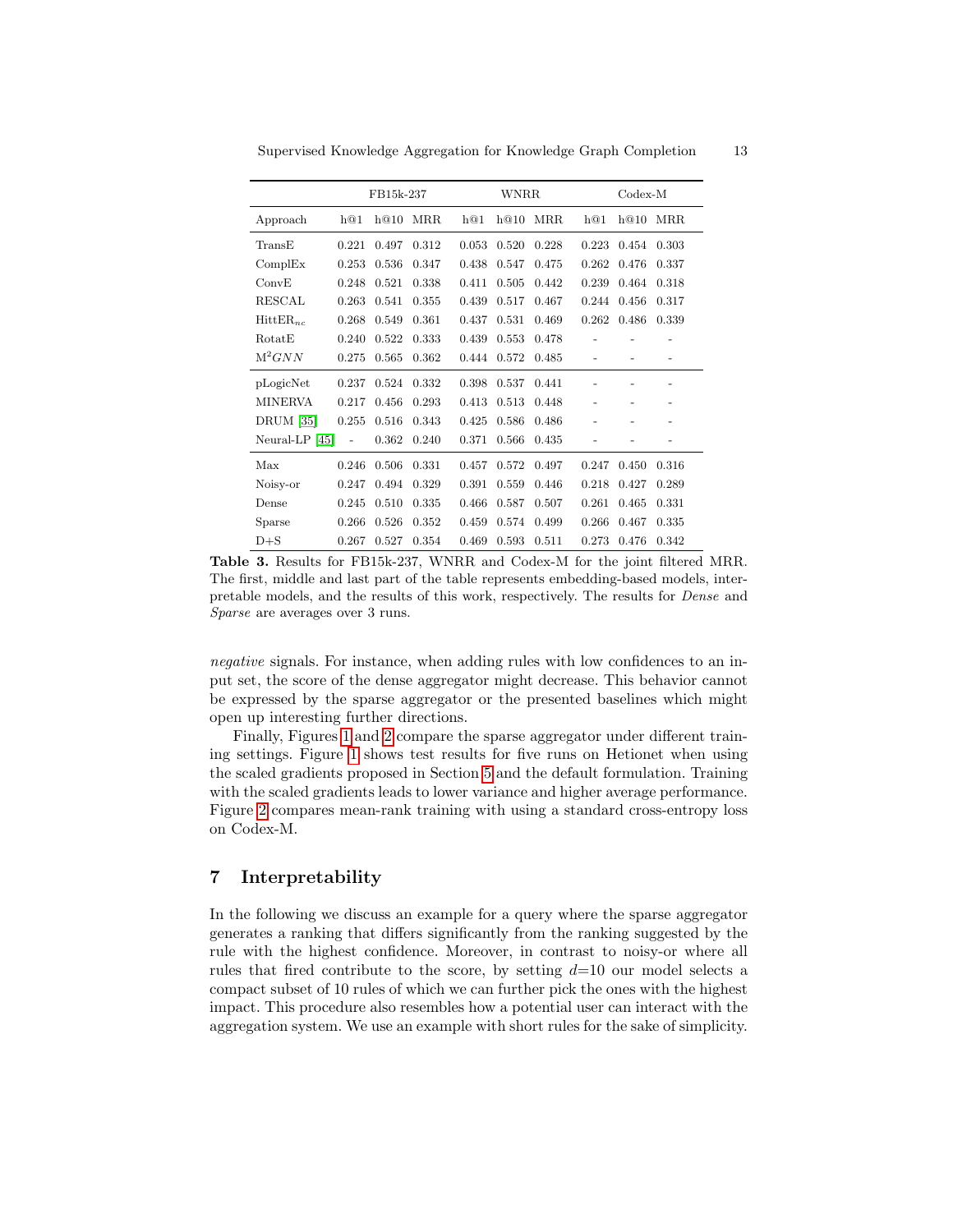Supervised Knowledge Aggregation for Knowledge Graph Completion 13

|                  | FB15k-237                |       |            | WNRR  |       | $\mathrm{Codex}\text{-}\mathrm{M}$ |       |       |            |
|------------------|--------------------------|-------|------------|-------|-------|------------------------------------|-------|-------|------------|
| Approach         | h@1                      | h@10  | <b>MRR</b> | h@1   | h@10  | <b>MRR</b>                         | h@1   | h@10  | <b>MRR</b> |
| TransE           | 0.221                    | 0.497 | 0.312      | 0.053 | 0.520 | 0.228                              | 0.223 | 0.454 | 0.303      |
| ComplEx          | 0.253                    | 0.536 | 0.347      | 0.438 | 0.547 | 0.475                              | 0.262 | 0.476 | 0.337      |
| ConvE            | 0.248                    | 0.521 | 0.338      | 0.411 | 0.505 | 0.442                              | 0.239 | 0.464 | 0.318      |
| <b>RESCAL</b>    | 0.263                    | 0.541 | 0.355      | 0.439 | 0.517 | 0.467                              | 0.244 | 0.456 | 0.317      |
| $HittER_{nc}$    | 0.268                    | 0.549 | 0.361      | 0.437 | 0.531 | 0.469                              | 0.262 | 0.486 | 0.339      |
| <b>RotatE</b>    | 0.240                    | 0.522 | 0.333      | 0.439 | 0.553 | 0.478                              |       |       | ۰          |
| $M^2 GNN$        | 0.275                    | 0.565 | 0.362      | 0.444 | 0.572 | 0.485                              |       |       | -          |
| pLogicNet        | 0.237                    | 0.524 | 0.332      | 0.398 | 0.537 | 0.441                              |       |       |            |
| <b>MINERVA</b>   | 0.217                    | 0.456 | 0.293      | 0.413 | 0.513 | 0.448                              |       |       |            |
| <b>DRUM</b> [35] | 0.255                    | 0.516 | 0.343      | 0.425 | 0.586 | 0.486                              |       |       |            |
| Neural-LP [45]   | $\overline{\phantom{a}}$ | 0.362 | 0.240      | 0.371 | 0.566 | 0.435                              | ۰     |       |            |
| Max              | 0.246                    | 0.506 | 0.331      | 0.457 | 0.572 | 0.497                              | 0.247 | 0.450 | 0.316      |
| Noisy-or         | 0.247                    | 0.494 | 0.329      | 0.391 | 0.559 | 0.446                              | 0.218 | 0.427 | 0.289      |
| Dense            | 0.245                    | 0.510 | 0.335      | 0.466 | 0.587 | 0.507                              | 0.261 | 0.465 | 0.331      |
| Sparse           | 0.266                    | 0.526 | 0.352      | 0.459 | 0.574 | 0.499                              | 0.266 | 0.467 | 0.335      |
| $D + S$          | 0.267                    | 0.527 | 0.354      | 0.469 | 0.593 | 0.511                              | 0.273 | 0.476 | 0.342      |

Table 3. Results for FB15k-237, WNRR and Codex-M for the joint filtered MRR. The first, middle and last part of the table represents embedding-based models, interpretable models, and the results of this work, respectively. The results for Dense and Sparse are averages over 3 runs.

negative signals. For instance, when adding rules with low confidences to an input set, the score of the dense aggregator might decrease. This behavior cannot be expressed by the sparse aggregator or the presented baselines which might open up interesting further directions.

Finally, Figures [1](#page-13-0) and [2](#page-13-1) compare the sparse aggregator under different training settings. Figure [1](#page-13-0) shows test results for five runs on Hetionet when using the scaled gradients proposed in Section [5](#page-5-0) and the default formulation. Training with the scaled gradients leads to lower variance and higher average performance. Figure [2](#page-13-1) compares mean-rank training with using a standard cross-entropy loss on Codex-M.

# 7 Interpretability

In the following we discuss an example for a query where the sparse aggregator generates a ranking that differs significantly from the ranking suggested by the rule with the highest confidence. Moreover, in contrast to noisy-or where all rules that fired contribute to the score, by setting  $d=10$  our model selects a compact subset of 10 rules of which we can further pick the ones with the highest impact. This procedure also resembles how a potential user can interact with the aggregation system. We use an example with short rules for the sake of simplicity.

<span id="page-12-0"></span>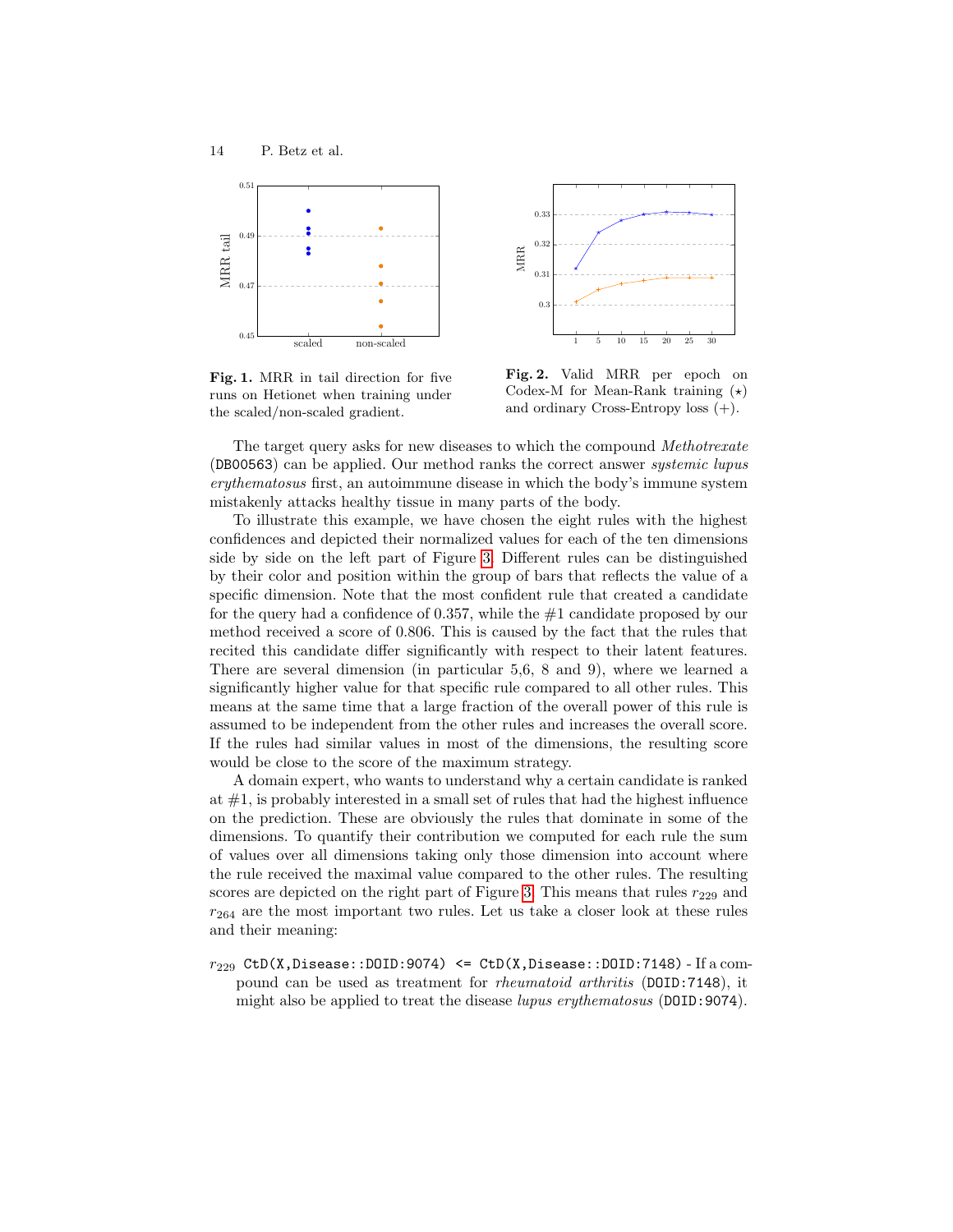

Fig. 1. MRR in tail direction for five runs on Hetionet when training under the scaled/non-scaled gradient.



<span id="page-13-1"></span><span id="page-13-0"></span>Fig. 2. Valid MRR per epoch on Codex-M for Mean-Rank training  $(\star)$ and ordinary Cross-Entropy loss (+).

The target query asks for new diseases to which the compound *Methotrexate* (DB00563) can be applied. Our method ranks the correct answer systemic lupus erythematosus first, an autoimmune disease in which the body's immune system mistakenly attacks healthy tissue in many parts of the body.

To illustrate this example, we have chosen the eight rules with the highest confidences and depicted their normalized values for each of the ten dimensions side by side on the left part of Figure [3.](#page-14-0) Different rules can be distinguished by their color and position within the group of bars that reflects the value of a specific dimension. Note that the most confident rule that created a candidate for the query had a confidence of 0.357, while the  $#1$  candidate proposed by our method received a score of 0.806. This is caused by the fact that the rules that recited this candidate differ significantly with respect to their latent features. There are several dimension (in particular 5,6, 8 and 9), where we learned a significantly higher value for that specific rule compared to all other rules. This means at the same time that a large fraction of the overall power of this rule is assumed to be independent from the other rules and increases the overall score. If the rules had similar values in most of the dimensions, the resulting score would be close to the score of the maximum strategy.

A domain expert, who wants to understand why a certain candidate is ranked at  $\#1$ , is probably interested in a small set of rules that had the highest influence on the prediction. These are obviously the rules that dominate in some of the dimensions. To quantify their contribution we computed for each rule the sum of values over all dimensions taking only those dimension into account where the rule received the maximal value compared to the other rules. The resulting scores are depicted on the right part of Figure [3.](#page-14-0) This means that rules  $r_{229}$  and  $r_{264}$  are the most important two rules. Let us take a closer look at these rules and their meaning:

 $r_{229}$  CtD(X,Disease::DOID:9074) <= CtD(X,Disease::DOID:7148) - If a compound can be used as treatment for rheumatoid arthritis (DOID:7148), it might also be applied to treat the disease *lupus erythematosus* (DOID:9074).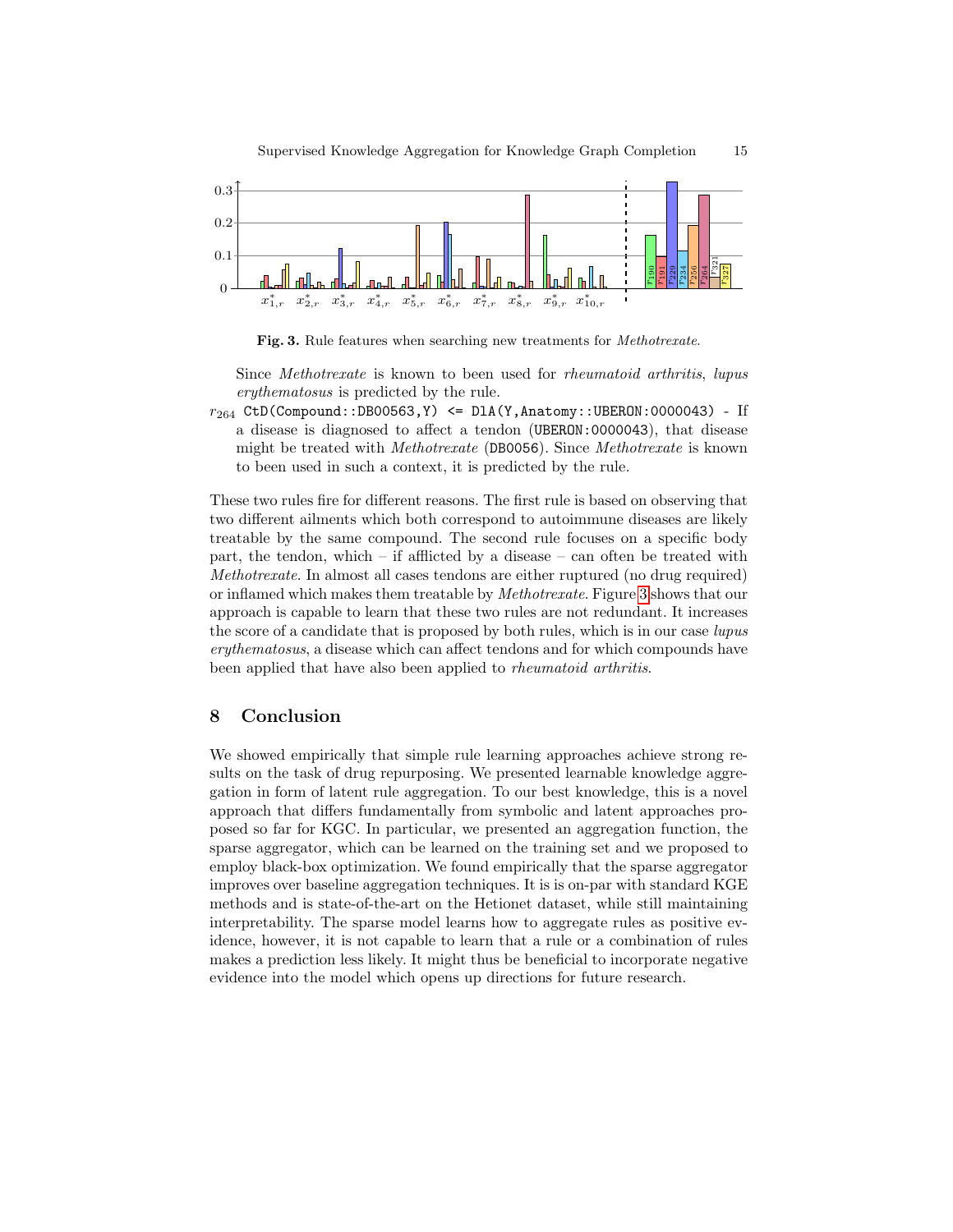

<span id="page-14-0"></span>Fig. 3. Rule features when searching new treatments for *Methotrexate*.

Since Methotrexate is known to been used for rheumatoid arthritis, lupus erythematosus is predicted by the rule.

 $r_{264}$  CtD(Compound::DB00563,Y) <= D1A(Y, Anatomy::UBERON:0000043) - If a disease is diagnosed to affect a tendon (UBERON:0000043), that disease might be treated with Methotrexate (DB0056). Since Methotrexate is known to been used in such a context, it is predicted by the rule.

These two rules fire for different reasons. The first rule is based on observing that two different ailments which both correspond to autoimmune diseases are likely treatable by the same compound. The second rule focuses on a specific body part, the tendon, which – if afflicted by a disease – can often be treated with Methotrexate. In almost all cases tendons are either ruptured (no drug required) or inflamed which makes them treatable by Methotrexate. Figure [3](#page-14-0) shows that our approach is capable to learn that these two rules are not redundant. It increases the score of a candidate that is proposed by both rules, which is in our case lupus erythematosus, a disease which can affect tendons and for which compounds have been applied that have also been applied to rheumatoid arthritis.

# 8 Conclusion

We showed empirically that simple rule learning approaches achieve strong results on the task of drug repurposing. We presented learnable knowledge aggregation in form of latent rule aggregation. To our best knowledge, this is a novel approach that differs fundamentally from symbolic and latent approaches proposed so far for KGC. In particular, we presented an aggregation function, the sparse aggregator, which can be learned on the training set and we proposed to employ black-box optimization. We found empirically that the sparse aggregator improves over baseline aggregation techniques. It is is on-par with standard KGE methods and is state-of-the-art on the Hetionet dataset, while still maintaining interpretability. The sparse model learns how to aggregate rules as positive evidence, however, it is not capable to learn that a rule or a combination of rules makes a prediction less likely. It might thus be beneficial to incorporate negative evidence into the model which opens up directions for future research.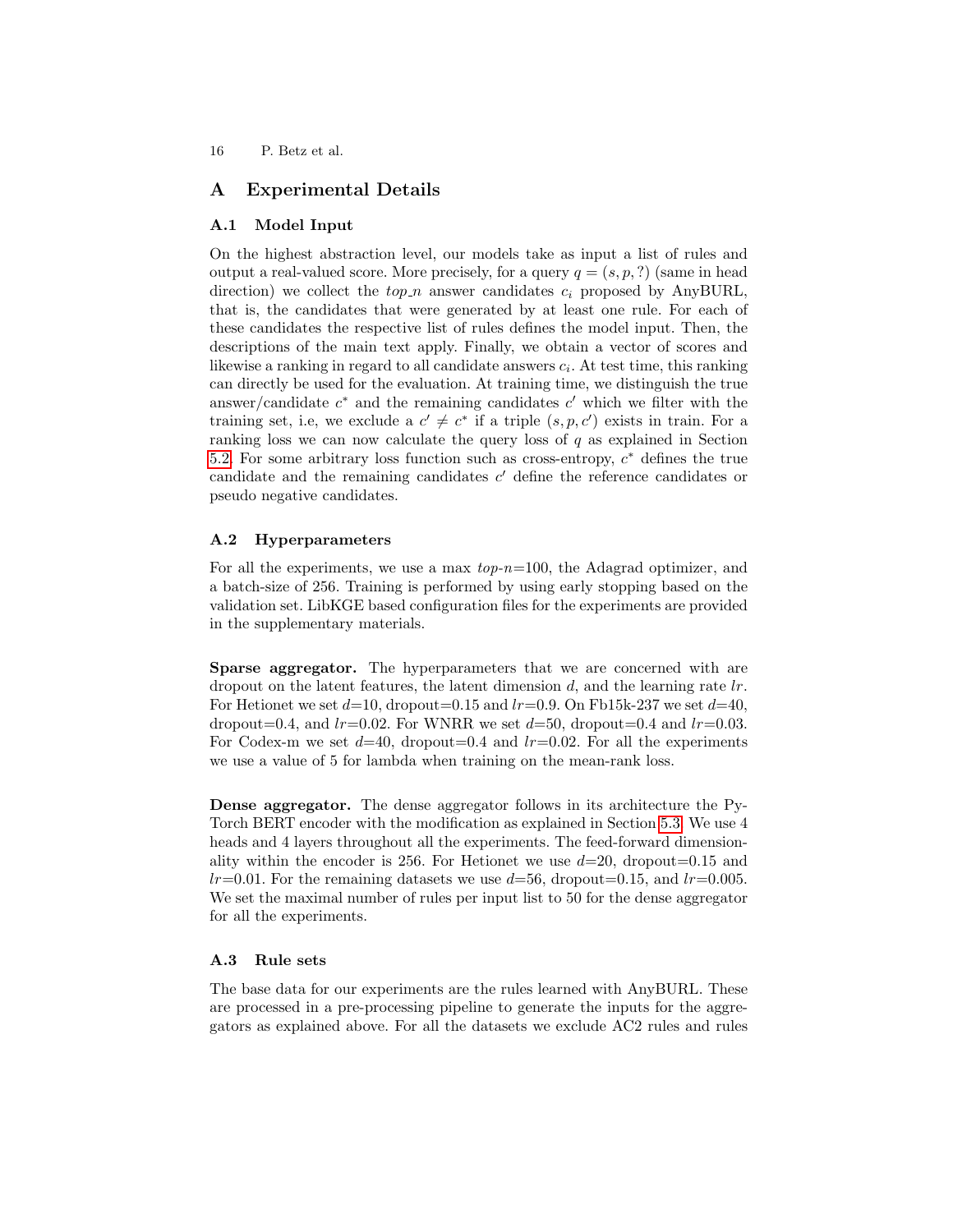# <span id="page-15-0"></span>A Experimental Details

#### A.1 Model Input

On the highest abstraction level, our models take as input a list of rules and output a real-valued score. More precisely, for a query  $q = (s, p, ?)$  (same in head direction) we collect the  $top_n$  answer candidates  $c_i$  proposed by AnyBURL, that is, the candidates that were generated by at least one rule. For each of these candidates the respective list of rules defines the model input. Then, the descriptions of the main text apply. Finally, we obtain a vector of scores and likewise a ranking in regard to all candidate answers  $c_i$ . At test time, this ranking can directly be used for the evaluation. At training time, we distinguish the true answer/candidate  $c^*$  and the remaining candidates  $c'$  which we filter with the training set, i.e, we exclude a  $c' \neq c^*$  if a triple  $(s, p, c')$  exists in train. For a ranking loss we can now calculate the query loss of  $q$  as explained in Section [5.2.](#page-7-0) For some arbitrary loss function such as cross-entropy,  $c^*$  defines the true candidate and the remaining candidates  $c'$  define the reference candidates or pseudo negative candidates.

## A.2 Hyperparameters

For all the experiments, we use a max  $top-n=100$ , the Adagrad optimizer, and a batch-size of 256. Training is performed by using early stopping based on the validation set. LibKGE based configuration files for the experiments are provided in the supplementary materials.

Sparse aggregator. The hyperparameters that we are concerned with are dropout on the latent features, the latent dimension  $d$ , and the learning rate  $lr$ . For Hetionet we set  $d=10$ , dropout=0.15 and  $lr=0.9$ . On Fb15k-237 we set  $d=40$ , dropout=0.4, and  $lr=0.02$ . For WNRR we set  $d=50$ , dropout=0.4 and  $lr=0.03$ . For Codex-m we set  $d=40$ , dropout=0.4 and  $lr=0.02$ . For all the experiments we use a value of 5 for lambda when training on the mean-rank loss.

Dense aggregator. The dense aggregator follows in its architecture the Py-Torch BERT encoder with the modification as explained in Section [5.3.](#page-8-1) We use 4 heads and 4 layers throughout all the experiments. The feed-forward dimensionality within the encoder is 256. For Hetionet we use  $d=20$ , dropout=0.15 and  $lr=0.01$ . For the remaining datasets we use  $d=56$ , dropout=0.15, and  $lr=0.005$ . We set the maximal number of rules per input list to 50 for the dense aggregator for all the experiments.

### A.3 Rule sets

The base data for our experiments are the rules learned with AnyBURL. These are processed in a pre-processing pipeline to generate the inputs for the aggregators as explained above. For all the datasets we exclude AC2 rules and rules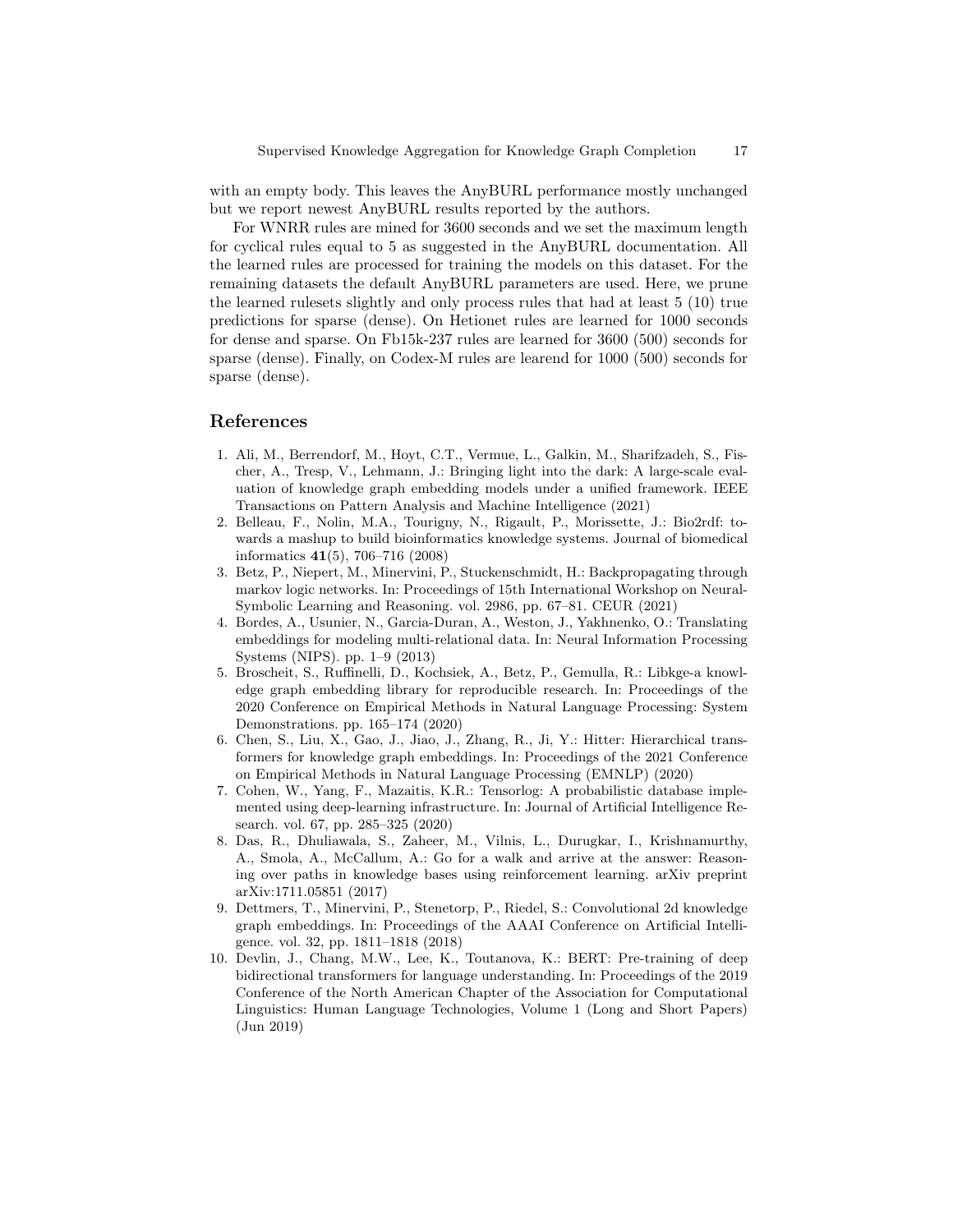with an empty body. This leaves the AnyBURL performance mostly unchanged but we report newest AnyBURL results reported by the authors.

For WNRR rules are mined for 3600 seconds and we set the maximum length for cyclical rules equal to 5 as suggested in the AnyBURL documentation. All the learned rules are processed for training the models on this dataset. For the remaining datasets the default AnyBURL parameters are used. Here, we prune the learned rulesets slightly and only process rules that had at least 5 (10) true predictions for sparse (dense). On Hetionet rules are learned for 1000 seconds for dense and sparse. On Fb15k-237 rules are learned for 3600 (500) seconds for sparse (dense). Finally, on Codex-M rules are learend for 1000 (500) seconds for sparse (dense).

# References

- <span id="page-16-0"></span>1. Ali, M., Berrendorf, M., Hoyt, C.T., Vermue, L., Galkin, M., Sharifzadeh, S., Fischer, A., Tresp, V., Lehmann, J.: Bringing light into the dark: A large-scale evaluation of knowledge graph embedding models under a unified framework. IEEE Transactions on Pattern Analysis and Machine Intelligence (2021)
- <span id="page-16-1"></span>2. Belleau, F., Nolin, M.A., Tourigny, N., Rigault, P., Morissette, J.: Bio2rdf: towards a mashup to build bioinformatics knowledge systems. Journal of biomedical informatics 41(5), 706–716 (2008)
- <span id="page-16-7"></span>3. Betz, P., Niepert, M., Minervini, P., Stuckenschmidt, H.: Backpropagating through markov logic networks. In: Proceedings of 15th International Workshop on Neural-Symbolic Learning and Reasoning. vol. 2986, pp. 67–81. CEUR (2021)
- <span id="page-16-3"></span>4. Bordes, A., Usunier, N., Garcia-Duran, A., Weston, J., Yakhnenko, O.: Translating embeddings for modeling multi-relational data. In: Neural Information Processing Systems (NIPS). pp. 1–9 (2013)
- <span id="page-16-9"></span>5. Broscheit, S., Ruffinelli, D., Kochsiek, A., Betz, P., Gemulla, R.: Libkge-a knowledge graph embedding library for reproducible research. In: Proceedings of the 2020 Conference on Empirical Methods in Natural Language Processing: System Demonstrations. pp. 165–174 (2020)
- <span id="page-16-8"></span>6. Chen, S., Liu, X., Gao, J., Jiao, J., Zhang, R., Ji, Y.: Hitter: Hierarchical transformers for knowledge graph embeddings. In: Proceedings of the 2021 Conference on Empirical Methods in Natural Language Processing (EMNLP) (2020)
- <span id="page-16-5"></span>7. Cohen, W., Yang, F., Mazaitis, K.R.: Tensorlog: A probabilistic database implemented using deep-learning infrastructure. In: Journal of Artificial Intelligence Research. vol. 67, pp. 285–325 (2020)
- <span id="page-16-6"></span>8. Das, R., Dhuliawala, S., Zaheer, M., Vilnis, L., Durugkar, I., Krishnamurthy, A., Smola, A., McCallum, A.: Go for a walk and arrive at the answer: Reasoning over paths in knowledge bases using reinforcement learning. arXiv preprint arXiv:1711.05851 (2017)
- <span id="page-16-4"></span>9. Dettmers, T., Minervini, P., Stenetorp, P., Riedel, S.: Convolutional 2d knowledge graph embeddings. In: Proceedings of the AAAI Conference on Artificial Intelligence. vol. 32, pp. 1811–1818 (2018)
- <span id="page-16-2"></span>10. Devlin, J., Chang, M.W., Lee, K., Toutanova, K.: BERT: Pre-training of deep bidirectional transformers for language understanding. In: Proceedings of the 2019 Conference of the North American Chapter of the Association for Computational Linguistics: Human Language Technologies, Volume 1 (Long and Short Papers) (Jun 2019)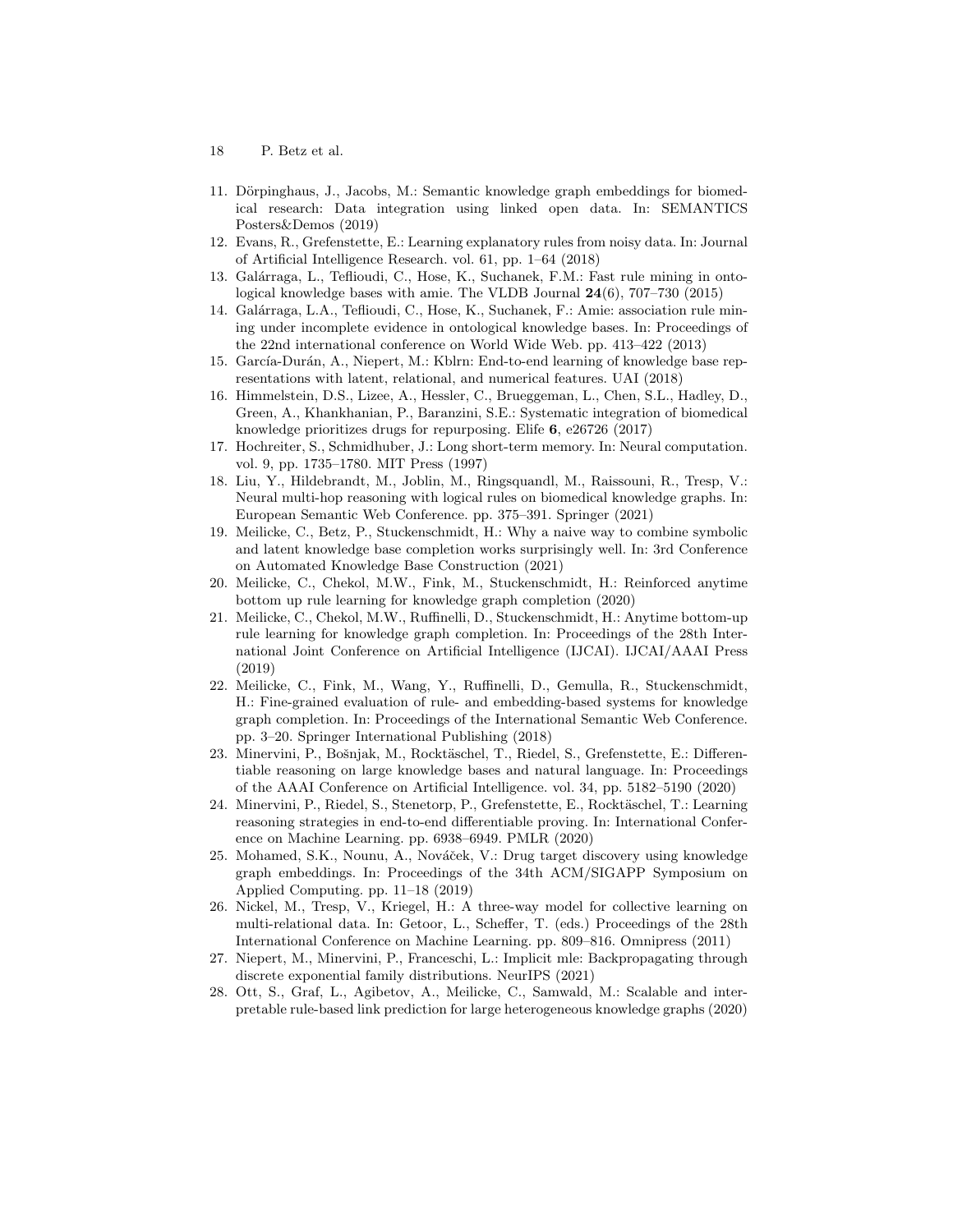- 18 P. Betz et al.
- <span id="page-17-0"></span>11. Dörpinghaus, J., Jacobs, M.: Semantic knowledge graph embeddings for biomedical research: Data integration using linked open data. In: SEMANTICS Posters&Demos (2019)
- <span id="page-17-14"></span>12. Evans, R., Grefenstette, E.: Learning explanatory rules from noisy data. In: Journal of Artificial Intelligence Research. vol. 61, pp. 1–64 (2018)
- <span id="page-17-9"></span>13. Galárraga, L., Teflioudi, C., Hose, K., Suchanek, F.M.: Fast rule mining in ontological knowledge bases with amie. The VLDB Journal 24(6), 707–730 (2015)
- <span id="page-17-10"></span>14. Galárraga, L.A., Teflioudi, C., Hose, K., Suchanek, F.: Amie: association rule mining under incomplete evidence in ontological knowledge bases. In: Proceedings of the 22nd international conference on World Wide Web. pp. 413–422 (2013)
- <span id="page-17-13"></span>15. García-Durán, A., Niepert, M.: Kblrn: End-to-end learning of knowledge base representations with latent, relational, and numerical features. UAI (2018)
- <span id="page-17-3"></span>16. Himmelstein, D.S., Lizee, A., Hessler, C., Brueggeman, L., Chen, S.L., Hadley, D., Green, A., Khankhanian, P., Baranzini, S.E.: Systematic integration of biomedical knowledge prioritizes drugs for repurposing. Elife 6, e26726 (2017)
- <span id="page-17-17"></span>17. Hochreiter, S., Schmidhuber, J.: Long short-term memory. In: Neural computation. vol. 9, pp. 1735–1780. MIT Press (1997)
- <span id="page-17-1"></span>18. Liu, Y., Hildebrandt, M., Joblin, M., Ringsquandl, M., Raissouni, R., Tresp, V.: Neural multi-hop reasoning with logical rules on biomedical knowledge graphs. In: European Semantic Web Conference. pp. 375–391. Springer (2021)
- <span id="page-17-4"></span>19. Meilicke, C., Betz, P., Stuckenschmidt, H.: Why a naive way to combine symbolic and latent knowledge base completion works surprisingly well. In: 3rd Conference on Automated Knowledge Base Construction (2021)
- <span id="page-17-5"></span>20. Meilicke, C., Chekol, M.W., Fink, M., Stuckenschmidt, H.: Reinforced anytime bottom up rule learning for knowledge graph completion (2020)
- <span id="page-17-6"></span>21. Meilicke, C., Chekol, M.W., Ruffinelli, D., Stuckenschmidt, H.: Anytime bottom-up rule learning for knowledge graph completion. In: Proceedings of the 28th International Joint Conference on Artificial Intelligence (IJCAI). IJCAI/AAAI Press (2019)
- <span id="page-17-11"></span>22. Meilicke, C., Fink, M., Wang, Y., Ruffinelli, D., Gemulla, R., Stuckenschmidt, H.: Fine-grained evaluation of rule- and embedding-based systems for knowledge graph completion. In: Proceedings of the International Semantic Web Conference. pp. 3–20. Springer International Publishing (2018)
- <span id="page-17-15"></span>23. Minervini, P., Bošnjak, M., Rocktäschel, T., Riedel, S., Grefenstette, E.: Differentiable reasoning on large knowledge bases and natural language. In: Proceedings of the AAAI Conference on Artificial Intelligence. vol. 34, pp. 5182–5190 (2020)
- <span id="page-17-16"></span>24. Minervini, P., Riedel, S., Stenetorp, P., Grefenstette, E., Rocktäschel, T.: Learning reasoning strategies in end-to-end differentiable proving. In: International Conference on Machine Learning. pp. 6938–6949. PMLR (2020)
- <span id="page-17-2"></span>25. Mohamed, S.K., Nounu, A., Nováček, V.: Drug target discovery using knowledge graph embeddings. In: Proceedings of the 34th ACM/SIGAPP Symposium on Applied Computing. pp. 11–18 (2019)
- <span id="page-17-8"></span>26. Nickel, M., Tresp, V., Kriegel, H.: A three-way model for collective learning on multi-relational data. In: Getoor, L., Scheffer, T. (eds.) Proceedings of the 28th International Conference on Machine Learning. pp. 809–816. Omnipress (2011)
- <span id="page-17-7"></span>27. Niepert, M., Minervini, P., Franceschi, L.: Implicit mle: Backpropagating through discrete exponential family distributions. NeurIPS (2021)
- <span id="page-17-12"></span>28. Ott, S., Graf, L., Agibetov, A., Meilicke, C., Samwald, M.: Scalable and interpretable rule-based link prediction for large heterogeneous knowledge graphs (2020)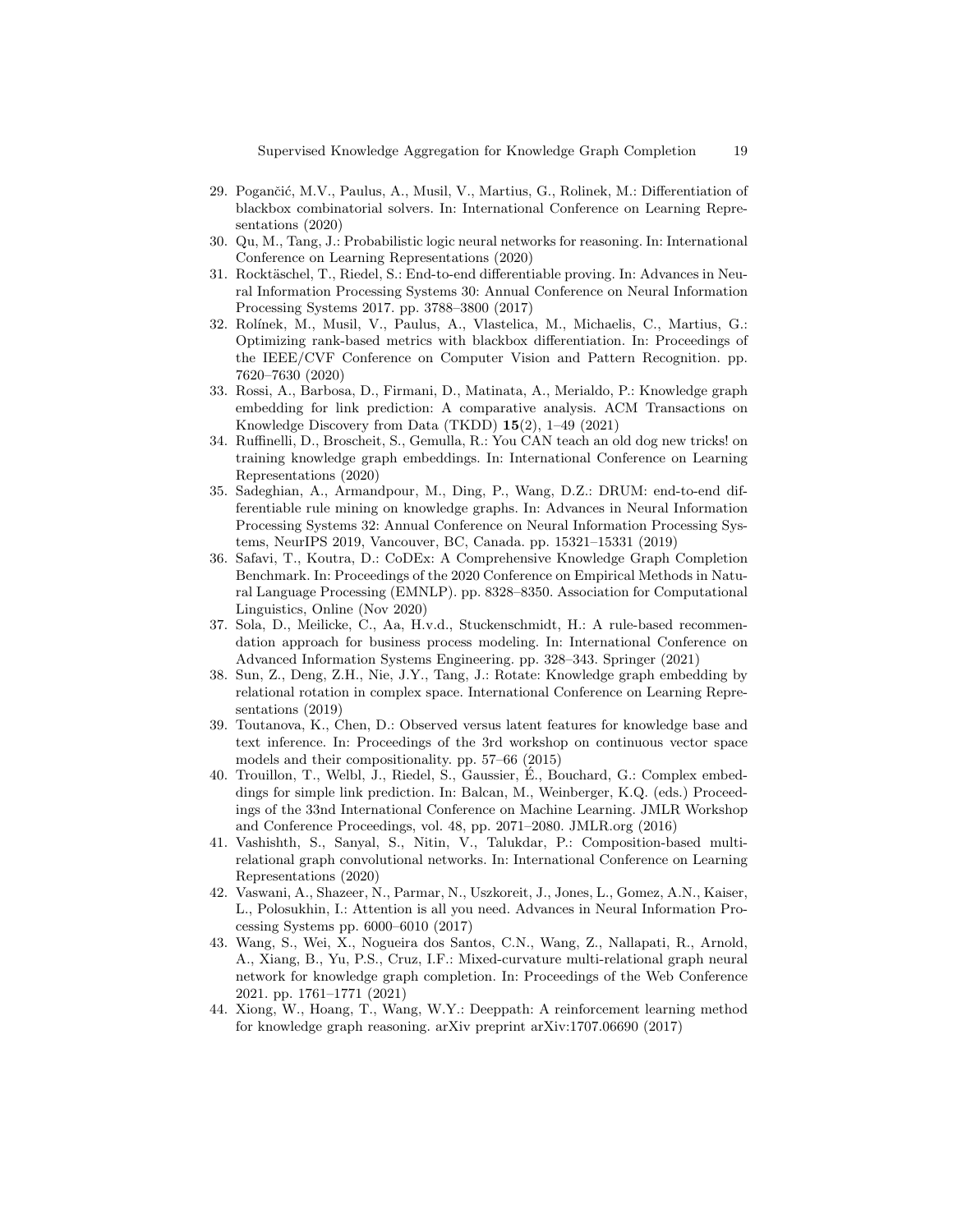- <span id="page-18-3"></span>29. Pogančić, M.V., Paulus, A., Musil, V., Martius, G., Rolinek, M.: Differentiation of blackbox combinatorial solvers. In: International Conference on Learning Representations (2020)
- <span id="page-18-12"></span>30. Qu, M., Tang, J.: Probabilistic logic neural networks for reasoning. In: International Conference on Learning Representations (2020)
- <span id="page-18-7"></span>31. Rocktäschel, T., Riedel, S.: End-to-end differentiable proving. In: Advances in Neural Information Processing Systems 30: Annual Conference on Neural Information Processing Systems 2017. pp. 3788–3800 (2017)
- <span id="page-18-4"></span>32. Rol´ınek, M., Musil, V., Paulus, A., Vlastelica, M., Michaelis, C., Martius, G.: Optimizing rank-based metrics with blackbox differentiation. In: Proceedings of the IEEE/CVF Conference on Computer Vision and Pattern Recognition. pp. 7620–7630 (2020)
- <span id="page-18-1"></span>33. Rossi, A., Barbosa, D., Firmani, D., Matinata, A., Merialdo, P.: Knowledge graph embedding for link prediction: A comparative analysis. ACM Transactions on Knowledge Discovery from Data (TKDD) 15(2), 1–49 (2021)
- <span id="page-18-0"></span>34. Ruffinelli, D., Broscheit, S., Gemulla, R.: You CAN teach an old dog new tricks! on training knowledge graph embeddings. In: International Conference on Learning Representations (2020)
- <span id="page-18-14"></span>35. Sadeghian, A., Armandpour, M., Ding, P., Wang, D.Z.: DRUM: end-to-end differentiable rule mining on knowledge graphs. In: Advances in Neural Information Processing Systems 32: Annual Conference on Neural Information Processing Systems, NeurIPS 2019, Vancouver, BC, Canada. pp. 15321–15331 (2019)
- <span id="page-18-11"></span>36. Safavi, T., Koutra, D.: CoDEx: A Comprehensive Knowledge Graph Completion Benchmark. In: Proceedings of the 2020 Conference on Empirical Methods in Natural Language Processing (EMNLP). pp. 8328–8350. Association for Computational Linguistics, Online (Nov 2020)
- <span id="page-18-2"></span>37. Sola, D., Meilicke, C., Aa, H.v.d., Stuckenschmidt, H.: A rule-based recommendation approach for business process modeling. In: International Conference on Advanced Information Systems Engineering. pp. 328–343. Springer (2021)
- <span id="page-18-13"></span>38. Sun, Z., Deng, Z.H., Nie, J.Y., Tang, J.: Rotate: Knowledge graph embedding by relational rotation in complex space. International Conference on Learning Representations (2019)
- <span id="page-18-10"></span>39. Toutanova, K., Chen, D.: Observed versus latent features for knowledge base and text inference. In: Proceedings of the 3rd workshop on continuous vector space models and their compositionality. pp. 57–66 (2015)
- <span id="page-18-5"></span>40. Trouillon, T., Welbl, J., Riedel, S., Gaussier, E., Bouchard, G.: Complex embed- ´ dings for simple link prediction. In: Balcan, M., Weinberger, K.Q. (eds.) Proceedings of the 33nd International Conference on Machine Learning. JMLR Workshop and Conference Proceedings, vol. 48, pp. 2071–2080. JMLR.org (2016)
- <span id="page-18-6"></span>41. Vashishth, S., Sanyal, S., Nitin, V., Talukdar, P.: Composition-based multirelational graph convolutional networks. In: International Conference on Learning Representations (2020)
- <span id="page-18-9"></span>42. Vaswani, A., Shazeer, N., Parmar, N., Uszkoreit, J., Jones, L., Gomez, A.N., Kaiser, L., Polosukhin, I.: Attention is all you need. Advances in Neural Information Processing Systems pp. 6000–6010 (2017)
- <span id="page-18-15"></span>43. Wang, S., Wei, X., Nogueira dos Santos, C.N., Wang, Z., Nallapati, R., Arnold, A., Xiang, B., Yu, P.S., Cruz, I.F.: Mixed-curvature multi-relational graph neural network for knowledge graph completion. In: Proceedings of the Web Conference 2021. pp. 1761–1771 (2021)
- <span id="page-18-8"></span>44. Xiong, W., Hoang, T., Wang, W.Y.: Deeppath: A reinforcement learning method for knowledge graph reasoning. arXiv preprint arXiv:1707.06690 (2017)